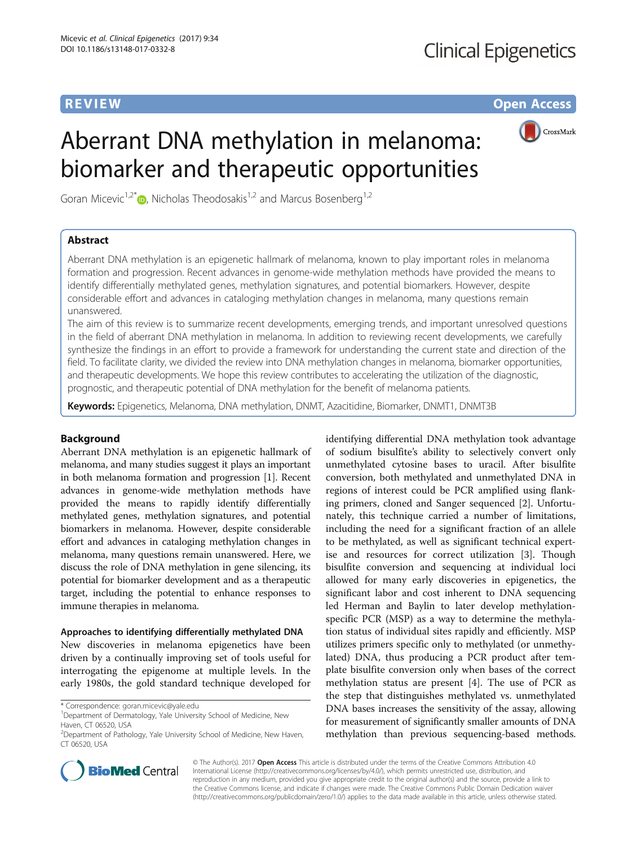**REVIEW CONSTRUCTION CONSTRUCTION CONSTRUCTS** 



# Aberrant DNA methylation in melanoma: biomarker and therapeutic opportunities

Goran Micevic<sup>1,2[\\*](http://orcid.org/0000-0003-0329-1053)</sup> $\bullet$ , Nicholas Theodosakis<sup>1,2</sup> and Marcus Bosenberg<sup>1,2</sup>

# Abstract

Aberrant DNA methylation is an epigenetic hallmark of melanoma, known to play important roles in melanoma formation and progression. Recent advances in genome-wide methylation methods have provided the means to identify differentially methylated genes, methylation signatures, and potential biomarkers. However, despite considerable effort and advances in cataloging methylation changes in melanoma, many questions remain unanswered.

The aim of this review is to summarize recent developments, emerging trends, and important unresolved questions in the field of aberrant DNA methylation in melanoma. In addition to reviewing recent developments, we carefully synthesize the findings in an effort to provide a framework for understanding the current state and direction of the field. To facilitate clarity, we divided the review into DNA methylation changes in melanoma, biomarker opportunities, and therapeutic developments. We hope this review contributes to accelerating the utilization of the diagnostic, prognostic, and therapeutic potential of DNA methylation for the benefit of melanoma patients.

Keywords: Epigenetics, Melanoma, DNA methylation, DNMT, Azacitidine, Biomarker, DNMT1, DNMT3B

# Background

Aberrant DNA methylation is an epigenetic hallmark of melanoma, and many studies suggest it plays an important in both melanoma formation and progression [[1](#page-11-0)]. Recent advances in genome-wide methylation methods have provided the means to rapidly identify differentially methylated genes, methylation signatures, and potential biomarkers in melanoma. However, despite considerable effort and advances in cataloging methylation changes in melanoma, many questions remain unanswered. Here, we discuss the role of DNA methylation in gene silencing, its potential for biomarker development and as a therapeutic target, including the potential to enhance responses to immune therapies in melanoma.

### Approaches to identifying differentially methylated DNA

New discoveries in melanoma epigenetics have been driven by a continually improving set of tools useful for interrogating the epigenome at multiple levels. In the early 1980s, the gold standard technique developed for identifying differential DNA methylation took advantage of sodium bisulfite's ability to selectively convert only unmethylated cytosine bases to uracil. After bisulfite conversion, both methylated and unmethylated DNA in regions of interest could be PCR amplified using flanking primers, cloned and Sanger sequenced [\[2](#page-11-0)]. Unfortunately, this technique carried a number of limitations, including the need for a significant fraction of an allele to be methylated, as well as significant technical expertise and resources for correct utilization [\[3\]](#page-11-0). Though bisulfite conversion and sequencing at individual loci allowed for many early discoveries in epigenetics, the significant labor and cost inherent to DNA sequencing led Herman and Baylin to later develop methylationspecific PCR (MSP) as a way to determine the methylation status of individual sites rapidly and efficiently. MSP utilizes primers specific only to methylated (or unmethylated) DNA, thus producing a PCR product after template bisulfite conversion only when bases of the correct methylation status are present [\[4\]](#page-11-0). The use of PCR as the step that distinguishes methylated vs. unmethylated DNA bases increases the sensitivity of the assay, allowing for measurement of significantly smaller amounts of DNA methylation than previous sequencing-based methods.



© The Author(s). 2017 Open Access This article is distributed under the terms of the Creative Commons Attribution 4.0 International License [\(http://creativecommons.org/licenses/by/4.0/](http://creativecommons.org/licenses/by/4.0/)), which permits unrestricted use, distribution, and reproduction in any medium, provided you give appropriate credit to the original author(s) and the source, provide a link to the Creative Commons license, and indicate if changes were made. The Creative Commons Public Domain Dedication waiver [\(http://creativecommons.org/publicdomain/zero/1.0/](http://creativecommons.org/publicdomain/zero/1.0/)) applies to the data made available in this article, unless otherwise stated.

<sup>\*</sup> Correspondence: [goran.micevic@yale.edu](mailto:goran.micevic@yale.edu) <sup>1</sup>

<sup>&</sup>lt;sup>1</sup>Department of Dermatology, Yale University School of Medicine, New Haven, CT 06520, USA

<sup>&</sup>lt;sup>2</sup>Department of Pathology, Yale University School of Medicine, New Haven, CT 06520, USA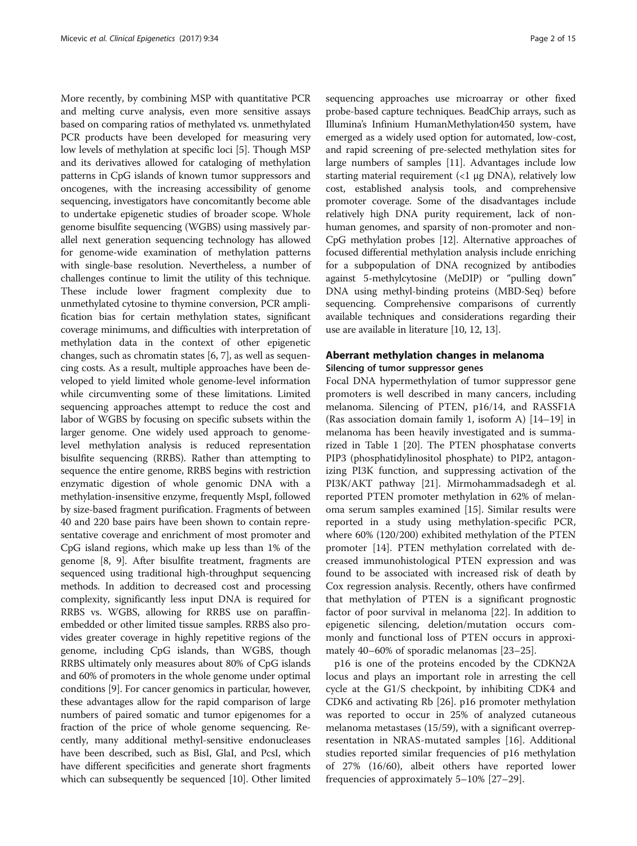More recently, by combining MSP with quantitative PCR and melting curve analysis, even more sensitive assays based on comparing ratios of methylated vs. unmethylated PCR products have been developed for measuring very low levels of methylation at specific loci [\[5](#page-11-0)]. Though MSP and its derivatives allowed for cataloging of methylation patterns in CpG islands of known tumor suppressors and oncogenes, with the increasing accessibility of genome sequencing, investigators have concomitantly become able to undertake epigenetic studies of broader scope. Whole genome bisulfite sequencing (WGBS) using massively parallel next generation sequencing technology has allowed for genome-wide examination of methylation patterns with single-base resolution. Nevertheless, a number of challenges continue to limit the utility of this technique. These include lower fragment complexity due to unmethylated cytosine to thymine conversion, PCR amplification bias for certain methylation states, significant coverage minimums, and difficulties with interpretation of methylation data in the context of other epigenetic changes, such as chromatin states [\[6, 7](#page-11-0)], as well as sequencing costs. As a result, multiple approaches have been developed to yield limited whole genome-level information while circumventing some of these limitations. Limited sequencing approaches attempt to reduce the cost and labor of WGBS by focusing on specific subsets within the larger genome. One widely used approach to genomelevel methylation analysis is reduced representation bisulfite sequencing (RRBS). Rather than attempting to sequence the entire genome, RRBS begins with restriction enzymatic digestion of whole genomic DNA with a methylation-insensitive enzyme, frequently MspI, followed by size-based fragment purification. Fragments of between 40 and 220 base pairs have been shown to contain representative coverage and enrichment of most promoter and CpG island regions, which make up less than 1% of the genome [[8](#page-11-0), [9\]](#page-11-0). After bisulfite treatment, fragments are sequenced using traditional high-throughput sequencing methods. In addition to decreased cost and processing complexity, significantly less input DNA is required for RRBS vs. WGBS, allowing for RRBS use on paraffinembedded or other limited tissue samples. RRBS also provides greater coverage in highly repetitive regions of the genome, including CpG islands, than WGBS, though RRBS ultimately only measures about 80% of CpG islands and 60% of promoters in the whole genome under optimal conditions [\[9](#page-11-0)]. For cancer genomics in particular, however, these advantages allow for the rapid comparison of large numbers of paired somatic and tumor epigenomes for a fraction of the price of whole genome sequencing. Recently, many additional methyl-sensitive endonucleases have been described, such as BisI, GlaI, and PcsI, which have different specificities and generate short fragments which can subsequently be sequenced [\[10\]](#page-11-0). Other limited sequencing approaches use microarray or other fixed probe-based capture techniques. BeadChip arrays, such as Illumina's Infinium HumanMethylation450 system, have emerged as a widely used option for automated, low-cost, and rapid screening of pre-selected methylation sites for large numbers of samples [\[11\]](#page-11-0). Advantages include low starting material requirement (<1 μg DNA), relatively low cost, established analysis tools, and comprehensive promoter coverage. Some of the disadvantages include relatively high DNA purity requirement, lack of nonhuman genomes, and sparsity of non-promoter and non-CpG methylation probes [[12\]](#page-11-0). Alternative approaches of focused differential methylation analysis include enriching for a subpopulation of DNA recognized by antibodies against 5-methylcytosine (MeDIP) or "pulling down" DNA using methyl-binding proteins (MBD-Seq) before sequencing. Comprehensive comparisons of currently available techniques and considerations regarding their use are available in literature [[10](#page-11-0), [12, 13\]](#page-11-0).

# Aberrant methylation changes in melanoma Silencing of tumor suppressor genes

Focal DNA hypermethylation of tumor suppressor gene promoters is well described in many cancers, including melanoma. Silencing of PTEN, p16/14, and RASSF1A (Ras association domain family 1, isoform A) [\[14](#page-11-0)–[19](#page-11-0)] in melanoma has been heavily investigated and is summarized in Table [1](#page-2-0) [\[20\]](#page-11-0). The PTEN phosphatase converts PIP3 (phosphatidylinositol phosphate) to PIP2, antagonizing PI3K function, and suppressing activation of the PI3K/AKT pathway [\[21\]](#page-11-0). Mirmohammadsadegh et al. reported PTEN promoter methylation in 62% of melanoma serum samples examined [\[15](#page-11-0)]. Similar results were reported in a study using methylation-specific PCR, where 60% (120/200) exhibited methylation of the PTEN promoter [[14](#page-11-0)]. PTEN methylation correlated with decreased immunohistological PTEN expression and was found to be associated with increased risk of death by Cox regression analysis. Recently, others have confirmed that methylation of PTEN is a significant prognostic factor of poor survival in melanoma [\[22\]](#page-11-0). In addition to epigenetic silencing, deletion/mutation occurs commonly and functional loss of PTEN occurs in approximately 40–60% of sporadic melanomas [[23](#page-11-0)–[25\]](#page-11-0).

p16 is one of the proteins encoded by the CDKN2A locus and plays an important role in arresting the cell cycle at the G1/S checkpoint, by inhibiting CDK4 and CDK6 and activating Rb [\[26](#page-11-0)]. p16 promoter methylation was reported to occur in 25% of analyzed cutaneous melanoma metastases (15/59), with a significant overrepresentation in NRAS-mutated samples [[16\]](#page-11-0). Additional studies reported similar frequencies of p16 methylation of 27% (16/60), albeit others have reported lower frequencies of approximately 5–10% [[27](#page-12-0)–[29](#page-12-0)].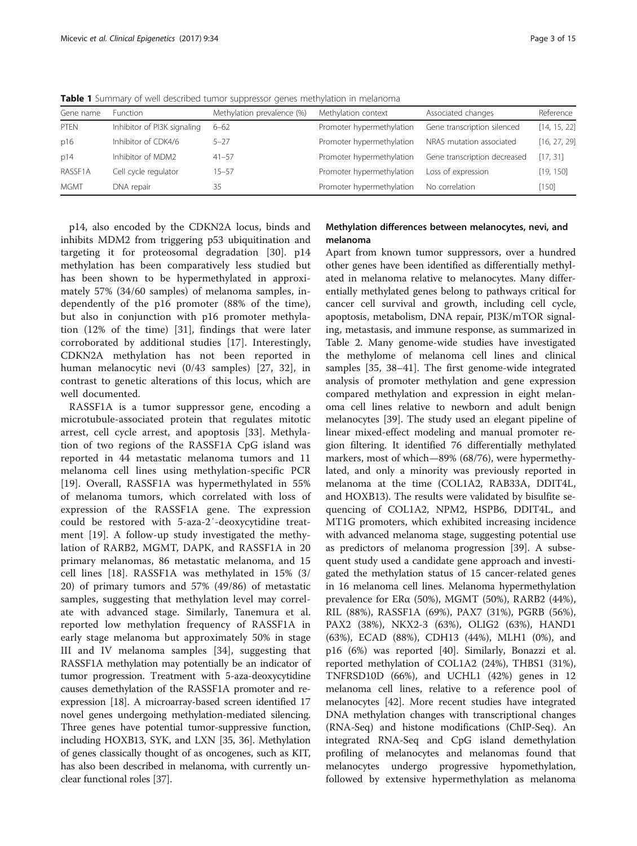| Gene name   | <b>Function</b>             | Methylation prevalence (%) | Methylation context       | Associated changes           | Reference    |
|-------------|-----------------------------|----------------------------|---------------------------|------------------------------|--------------|
| PTEN        | Inhibitor of PI3K signaling | $6 - 62$                   | Promoter hypermethylation | Gene transcription silenced  | [14, 15, 22] |
| p16         | Inhibitor of CDK4/6         | $5 - 27$                   | Promoter hypermethylation | NRAS mutation associated     | [16, 27, 29] |
| p14         | Inhibitor of MDM2           | $41 - 57$                  | Promoter hypermethylation | Gene transcription decreased | [17, 31]     |
| RASSF1A     | Cell cycle regulator        | $15 - 57$                  | Promoter hypermethylation | Loss of expression           | [19, 150]    |
| <b>MGMT</b> | DNA repair                  | 35                         | Promoter hypermethylation | No correlation               | [150]        |
|             |                             |                            |                           |                              |              |

<span id="page-2-0"></span>**Table 1** Summary of well described tumor suppressor genes methylation in melanoma

p14, also encoded by the CDKN2A locus, binds and inhibits MDM2 from triggering p53 ubiquitination and targeting it for proteosomal degradation [[30](#page-12-0)]. p14 methylation has been comparatively less studied but has been shown to be hypermethylated in approximately 57% (34/60 samples) of melanoma samples, independently of the p16 promoter (88% of the time), but also in conjunction with p16 promoter methylation (12% of the time) [\[31](#page-12-0)], findings that were later corroborated by additional studies [\[17](#page-11-0)]. Interestingly, CDKN2A methylation has not been reported in human melanocytic nevi (0/43 samples) [\[27](#page-12-0), [32](#page-12-0)], in contrast to genetic alterations of this locus, which are well documented.

RASSF1A is a tumor suppressor gene, encoding a microtubule-associated protein that regulates mitotic arrest, cell cycle arrest, and apoptosis [\[33](#page-12-0)]. Methylation of two regions of the RASSF1A CpG island was reported in 44 metastatic melanoma tumors and 11 melanoma cell lines using methylation-specific PCR [[19\]](#page-11-0). Overall, RASSF1A was hypermethylated in 55% of melanoma tumors, which correlated with loss of expression of the RASSF1A gene. The expression could be restored with 5-aza-2′-deoxycytidine treatment [[19](#page-11-0)]. A follow-up study investigated the methylation of RARB2, MGMT, DAPK, and RASSF1A in 20 primary melanomas, 86 metastatic melanoma, and 15 cell lines [[18\]](#page-11-0). RASSF1A was methylated in 15% (3/ 20) of primary tumors and 57% (49/86) of metastatic samples, suggesting that methylation level may correlate with advanced stage. Similarly, Tanemura et al. reported low methylation frequency of RASSF1A in early stage melanoma but approximately 50% in stage III and IV melanoma samples [[34\]](#page-12-0), suggesting that RASSF1A methylation may potentially be an indicator of tumor progression. Treatment with 5-aza-deoxycytidine causes demethylation of the RASSF1A promoter and reexpression [\[18\]](#page-11-0). A microarray-based screen identified 17 novel genes undergoing methylation-mediated silencing. Three genes have potential tumor-suppressive function, including HOXB13, SYK, and LXN [\[35, 36](#page-12-0)]. Methylation of genes classically thought of as oncogenes, such as KIT, has also been described in melanoma, with currently unclear functional roles [\[37\]](#page-12-0).

# Methylation differences between melanocytes, nevi, and melanoma

Apart from known tumor suppressors, over a hundred other genes have been identified as differentially methylated in melanoma relative to melanocytes. Many differentially methylated genes belong to pathways critical for cancer cell survival and growth, including cell cycle, apoptosis, metabolism, DNA repair, PI3K/mTOR signaling, metastasis, and immune response, as summarized in Table [2.](#page-3-0) Many genome-wide studies have investigated the methylome of melanoma cell lines and clinical samples [[35, 38](#page-12-0)–[41\]](#page-12-0). The first genome-wide integrated analysis of promoter methylation and gene expression compared methylation and expression in eight melanoma cell lines relative to newborn and adult benign melanocytes [[39\]](#page-12-0). The study used an elegant pipeline of linear mixed-effect modeling and manual promoter region filtering. It identified 76 differentially methylated markers, most of which—89% (68/76), were hypermethylated, and only a minority was previously reported in melanoma at the time (COL1A2, RAB33A, DDIT4L, and HOXB13). The results were validated by bisulfite sequencing of COL1A2, NPM2, HSPB6, DDIT4L, and MT1G promoters, which exhibited increasing incidence with advanced melanoma stage, suggesting potential use as predictors of melanoma progression [\[39](#page-12-0)]. A subsequent study used a candidate gene approach and investigated the methylation status of 15 cancer-related genes in 16 melanoma cell lines. Melanoma hypermethylation prevalence for ERα (50%), MGMT (50%), RARB2 (44%), RIL (88%), RASSF1A (69%), PAX7 (31%), PGRB (56%), PAX2 (38%), NKX2-3 (63%), OLIG2 (63%), HAND1 (63%), ECAD (88%), CDH13 (44%), MLH1 (0%), and p16 (6%) was reported [[40\]](#page-12-0). Similarly, Bonazzi et al. reported methylation of COL1A2 (24%), THBS1 (31%), TNFRSD10D (66%), and UCHL1 (42%) genes in 12 melanoma cell lines, relative to a reference pool of melanocytes [[42\]](#page-12-0). More recent studies have integrated DNA methylation changes with transcriptional changes (RNA-Seq) and histone modifications (ChIP-Seq). An integrated RNA-Seq and CpG island demethylation profiling of melanocytes and melanomas found that melanocytes undergo progressive hypomethylation, followed by extensive hypermethylation as melanoma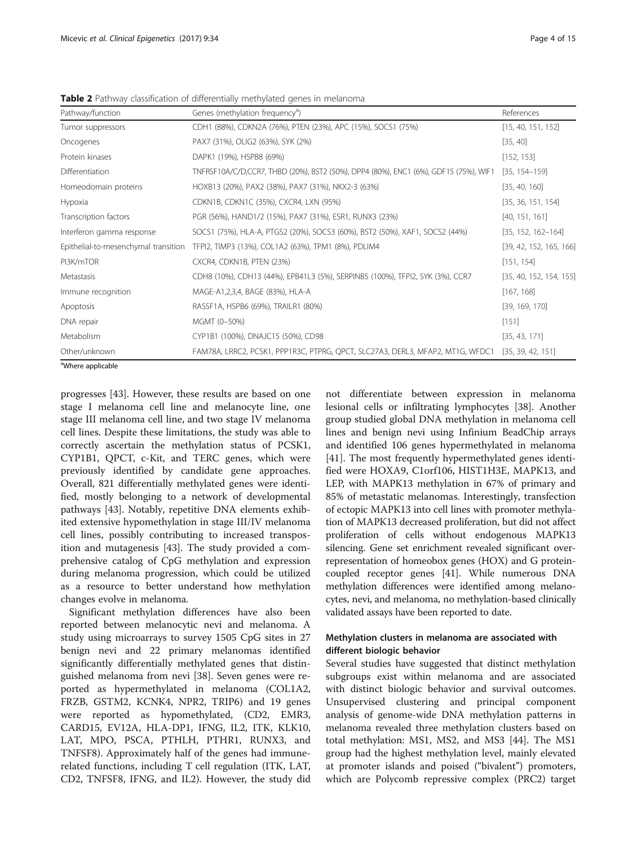| Pathway/function              | Genes (methylation frequency <sup>a</sup> )                                              | References              |
|-------------------------------|------------------------------------------------------------------------------------------|-------------------------|
| Tumor suppressors             | CDH1 (88%), CDKN2A (76%), PTEN (23%), APC (15%), SOCS1 (75%)                             | [15, 40, 151, 152]      |
| Oncogenes                     | PAX7 (31%), OLIG2 (63%), SYK (2%)                                                        | [35, 40]                |
| Protein kinases               | DAPK1 (19%), HSPB8 (69%)                                                                 | [152, 153]              |
| Differentiation               | TNFRSF10A/C/D,CCR7, THBD (20%), BST2 (50%), DPP4 (80%), ENC1 (6%), GDF15 (75%), WIF1     | $[35, 154 - 159]$       |
| Homeodomain proteins          | HOXB13 (20%), PAX2 (38%), PAX7 (31%), NKX2-3 (63%)                                       | [35, 40, 160]           |
| Hypoxia                       | CDKN1B, CDKN1C (35%), CXCR4, LXN (95%)                                                   | [35, 36, 151, 154]      |
| Transcription factors         | PGR (56%), HAND1/2 (15%), PAX7 (31%), ESR1, RUNX3 (23%)                                  | [40, 151, 161]          |
| Interferon gamma response     | SOCS1 (75%), HLA-A, PTGS2 (20%), SOCS3 (60%), BST2 (50%), XAF1, SOCS2 (44%)              | $[35, 152, 162 - 164]$  |
|                               | Epithelial-to-mesenchymal transition TFPI2, TIMP3 (13%), COL1A2 (63%), TPM1 (8%), PDLIM4 | [39, 42, 152, 165, 166] |
| PI3K/mTOR                     | CXCR4, CDKN1B, PTEN (23%)                                                                | [151, 154]              |
| Metastasis                    | CDH8 (10%), CDH13 (44%), EPB41L3 (5%), SERPINB5 (100%), TFPI2, SYK (3%), CCR7            | [35, 40, 152, 154, 155] |
| Immune recognition            | MAGE-A1,2,3,4, BAGE (83%), HLA-A                                                         | [167, 168]              |
| Apoptosis                     | RASSF1A, HSPB6 (69%), TRAILR1 (80%)                                                      | [39, 169, 170]          |
| DNA repair                    | MGMT (0-50%)                                                                             | [151]                   |
| Metabolism                    | CYP1B1 (100%), DNAJC15 (50%), CD98                                                       | [35, 43, 171]           |
| Other/unknown                 | FAM78A, LRRC2, PCSK1, PPP1R3C, PTPRG, QPCT, SLC27A3, DERL3, MFAP2, MT1G, WFDC1           | [35, 39, 42, 151]       |
| <sup>a</sup> Where applicable |                                                                                          |                         |

<span id="page-3-0"></span>**Table 2** Pathway classification of differentially methylated genes in melanoma

progresses [[43](#page-12-0)]. However, these results are based on one stage I melanoma cell line and melanocyte line, one stage III melanoma cell line, and two stage IV melanoma cell lines. Despite these limitations, the study was able to correctly ascertain the methylation status of PCSK1, CYP1B1, QPCT, c-Kit, and TERC genes, which were previously identified by candidate gene approaches. Overall, 821 differentially methylated genes were identified, mostly belonging to a network of developmental pathways [\[43\]](#page-12-0). Notably, repetitive DNA elements exhibited extensive hypomethylation in stage III/IV melanoma cell lines, possibly contributing to increased transposition and mutagenesis [[43\]](#page-12-0). The study provided a comprehensive catalog of CpG methylation and expression during melanoma progression, which could be utilized as a resource to better understand how methylation changes evolve in melanoma.

Significant methylation differences have also been reported between melanocytic nevi and melanoma. A study using microarrays to survey 1505 CpG sites in 27 benign nevi and 22 primary melanomas identified significantly differentially methylated genes that distinguished melanoma from nevi [\[38](#page-12-0)]. Seven genes were reported as hypermethylated in melanoma (COL1A2, FRZB, GSTM2, KCNK4, NPR2, TRIP6) and 19 genes were reported as hypomethylated, (CD2, EMR3, CARD15, EV12A, HLA-DP1, IFNG, IL2, ITK, KLK10, LAT, MPO, PSCA, PTHLH, PTHR1, RUNX3, and TNFSF8). Approximately half of the genes had immunerelated functions, including T cell regulation (ITK, LAT, CD2, TNFSF8, IFNG, and IL2). However, the study did

not differentiate between expression in melanoma lesional cells or infiltrating lymphocytes [\[38](#page-12-0)]. Another group studied global DNA methylation in melanoma cell lines and benign nevi using Infinium BeadChip arrays and identified 106 genes hypermethylated in melanoma [[41\]](#page-12-0). The most frequently hypermethylated genes identified were HOXA9, C1orf106, HIST1H3E, MAPK13, and LEP, with MAPK13 methylation in 67% of primary and 85% of metastatic melanomas. Interestingly, transfection of ectopic MAPK13 into cell lines with promoter methylation of MAPK13 decreased proliferation, but did not affect proliferation of cells without endogenous MAPK13 silencing. Gene set enrichment revealed significant overrepresentation of homeobox genes (HOX) and G proteincoupled receptor genes [\[41\]](#page-12-0). While numerous DNA methylation differences were identified among melanocytes, nevi, and melanoma, no methylation-based clinically validated assays have been reported to date.

# Methylation clusters in melanoma are associated with different biologic behavior

Several studies have suggested that distinct methylation subgroups exist within melanoma and are associated with distinct biologic behavior and survival outcomes. Unsupervised clustering and principal component analysis of genome-wide DNA methylation patterns in melanoma revealed three methylation clusters based on total methylation: MS1, MS2, and MS3 [[44](#page-12-0)]. The MS1 group had the highest methylation level, mainly elevated at promoter islands and poised ("bivalent") promoters, which are Polycomb repressive complex (PRC2) target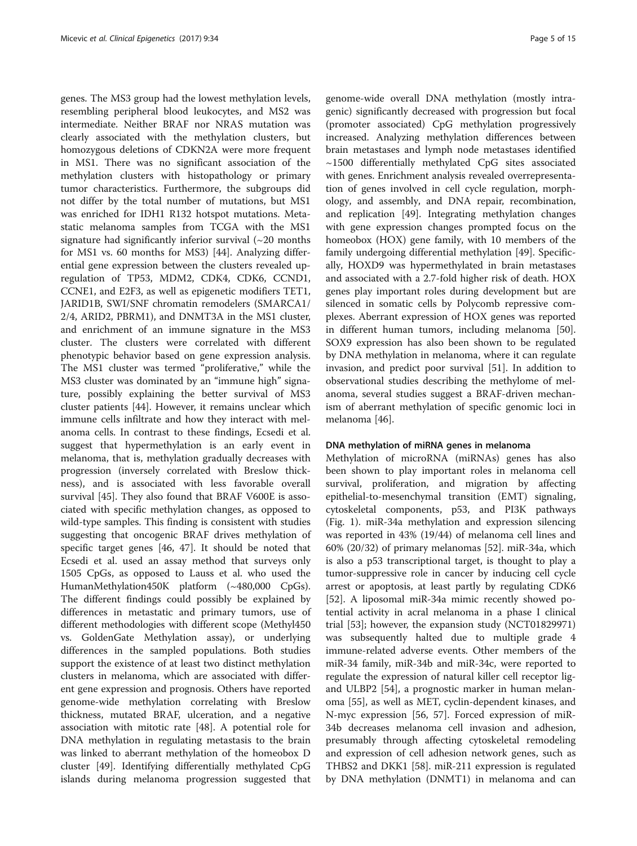genes. The MS3 group had the lowest methylation levels, resembling peripheral blood leukocytes, and MS2 was intermediate. Neither BRAF nor NRAS mutation was clearly associated with the methylation clusters, but homozygous deletions of CDKN2A were more frequent in MS1. There was no significant association of the methylation clusters with histopathology or primary tumor characteristics. Furthermore, the subgroups did not differ by the total number of mutations, but MS1 was enriched for IDH1 R132 hotspot mutations. Metastatic melanoma samples from TCGA with the MS1 signature had significantly inferior survival  $(\sim 20$  months for MS1 vs. 60 months for MS3) [\[44\]](#page-12-0). Analyzing differential gene expression between the clusters revealed upregulation of TP53, MDM2, CDK4, CDK6, CCND1, CCNE1, and E2F3, as well as epigenetic modifiers TET1, JARID1B, SWI/SNF chromatin remodelers (SMARCA1/ 2/4, ARID2, PBRM1), and DNMT3A in the MS1 cluster, and enrichment of an immune signature in the MS3 cluster. The clusters were correlated with different phenotypic behavior based on gene expression analysis. The MS1 cluster was termed "proliferative," while the MS3 cluster was dominated by an "immune high" signature, possibly explaining the better survival of MS3 cluster patients [[44](#page-12-0)]. However, it remains unclear which immune cells infiltrate and how they interact with melanoma cells. In contrast to these findings, Ecsedi et al. suggest that hypermethylation is an early event in melanoma, that is, methylation gradually decreases with progression (inversely correlated with Breslow thickness), and is associated with less favorable overall survival [[45](#page-12-0)]. They also found that BRAF V600E is associated with specific methylation changes, as opposed to wild-type samples. This finding is consistent with studies suggesting that oncogenic BRAF drives methylation of specific target genes [\[46, 47\]](#page-12-0). It should be noted that Ecsedi et al. used an assay method that surveys only 1505 CpGs, as opposed to Lauss et al. who used the HumanMethylation450K platform (~480,000 CpGs). The different findings could possibly be explained by differences in metastatic and primary tumors, use of different methodologies with different scope (Methyl450 vs. GoldenGate Methylation assay), or underlying differences in the sampled populations. Both studies support the existence of at least two distinct methylation clusters in melanoma, which are associated with different gene expression and prognosis. Others have reported genome-wide methylation correlating with Breslow thickness, mutated BRAF, ulceration, and a negative association with mitotic rate [\[48](#page-12-0)]. A potential role for DNA methylation in regulating metastasis to the brain was linked to aberrant methylation of the homeobox D cluster [[49\]](#page-12-0). Identifying differentially methylated CpG islands during melanoma progression suggested that

genome-wide overall DNA methylation (mostly intragenic) significantly decreased with progression but focal (promoter associated) CpG methylation progressively increased. Analyzing methylation differences between brain metastases and lymph node metastases identified  $\sim$ 1500 differentially methylated CpG sites associated with genes. Enrichment analysis revealed overrepresentation of genes involved in cell cycle regulation, morphology, and assembly, and DNA repair, recombination, and replication [[49\]](#page-12-0). Integrating methylation changes with gene expression changes prompted focus on the homeobox (HOX) gene family, with 10 members of the family undergoing differential methylation [\[49](#page-12-0)]. Specifically, HOXD9 was hypermethylated in brain metastases and associated with a 2.7-fold higher risk of death. HOX genes play important roles during development but are silenced in somatic cells by Polycomb repressive complexes. Aberrant expression of HOX genes was reported in different human tumors, including melanoma [\[50](#page-12-0)]. SOX9 expression has also been shown to be regulated by DNA methylation in melanoma, where it can regulate invasion, and predict poor survival [[51\]](#page-12-0). In addition to observational studies describing the methylome of melanoma, several studies suggest a BRAF-driven mechanism of aberrant methylation of specific genomic loci in melanoma [\[46](#page-12-0)].

#### DNA methylation of miRNA genes in melanoma

Methylation of microRNA (miRNAs) genes has also been shown to play important roles in melanoma cell survival, proliferation, and migration by affecting epithelial-to-mesenchymal transition (EMT) signaling, cytoskeletal components, p53, and PI3K pathways (Fig. [1](#page-5-0)). miR-34a methylation and expression silencing was reported in 43% (19/44) of melanoma cell lines and 60% (20/32) of primary melanomas [\[52\]](#page-12-0). miR-34a, which is also a p53 transcriptional target, is thought to play a tumor-suppressive role in cancer by inducing cell cycle arrest or apoptosis, at least partly by regulating CDK6 [[52\]](#page-12-0). A liposomal miR-34a mimic recently showed potential activity in acral melanoma in a phase I clinical trial [[53\]](#page-12-0); however, the expansion study (NCT01829971) was subsequently halted due to multiple grade 4 immune-related adverse events. Other members of the miR-34 family, miR-34b and miR-34c, were reported to regulate the expression of natural killer cell receptor ligand ULBP2 [\[54](#page-12-0)], a prognostic marker in human melanoma [[55\]](#page-12-0), as well as MET, cyclin-dependent kinases, and N-myc expression [[56](#page-12-0), [57](#page-12-0)]. Forced expression of miR-34b decreases melanoma cell invasion and adhesion, presumably through affecting cytoskeletal remodeling and expression of cell adhesion network genes, such as THBS2 and DKK1 [[58\]](#page-12-0). miR-211 expression is regulated by DNA methylation (DNMT1) in melanoma and can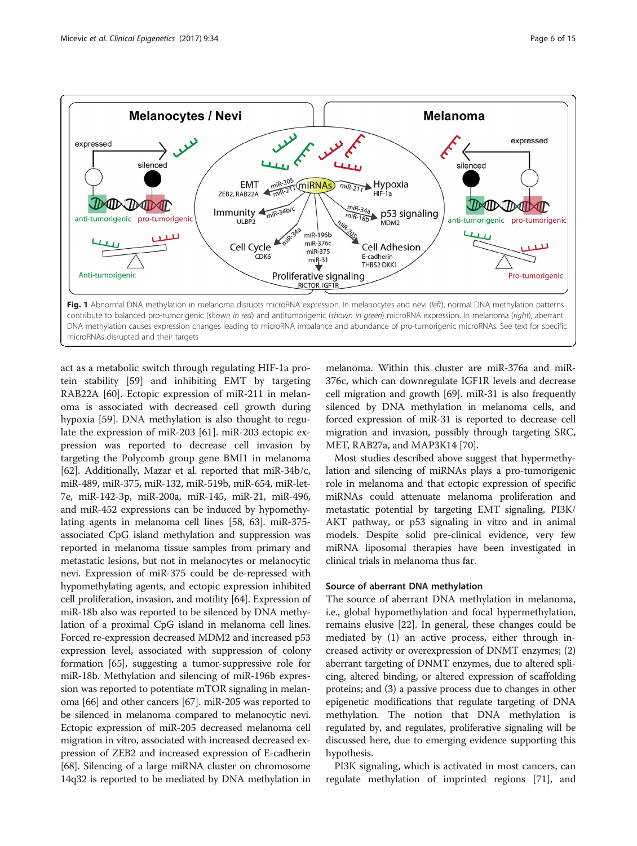<span id="page-5-0"></span>

act as a metabolic switch through regulating HIF-1a protein stability [\[59\]](#page-12-0) and inhibiting EMT by targeting RAB22A [[60](#page-12-0)]. Ectopic expression of miR-211 in melanoma is associated with decreased cell growth during hypoxia [\[59](#page-12-0)]. DNA methylation is also thought to regulate the expression of miR-203 [[61\]](#page-12-0). miR-203 ectopic expression was reported to decrease cell invasion by targeting the Polycomb group gene BMI1 in melanoma [[62\]](#page-12-0). Additionally, Mazar et al. reported that miR-34b/c, miR-489, miR-375, miR-132, miR-519b, miR-654, miR-let-7e, miR-142-3p, miR-200a, miR-145, miR-21, miR-496, and miR-452 expressions can be induced by hypomethylating agents in melanoma cell lines [\[58, 63\]](#page-12-0). miR-375 associated CpG island methylation and suppression was reported in melanoma tissue samples from primary and metastatic lesions, but not in melanocytes or melanocytic nevi. Expression of miR-375 could be de-repressed with hypomethylating agents, and ectopic expression inhibited cell proliferation, invasion, and motility [\[64\]](#page-12-0). Expression of miR-18b also was reported to be silenced by DNA methylation of a proximal CpG island in melanoma cell lines. Forced re-expression decreased MDM2 and increased p53 expression level, associated with suppression of colony formation [\[65](#page-12-0)], suggesting a tumor-suppressive role for miR-18b. Methylation and silencing of miR-196b expression was reported to potentiate mTOR signaling in melanoma [\[66\]](#page-12-0) and other cancers [\[67\]](#page-12-0). miR-205 was reported to be silenced in melanoma compared to melanocytic nevi. Ectopic expression of miR-205 decreased melanoma cell migration in vitro, associated with increased decreased expression of ZEB2 and increased expression of E-cadherin [[68](#page-12-0)]. Silencing of a large miRNA cluster on chromosome 14q32 is reported to be mediated by DNA methylation in

melanoma. Within this cluster are miR-376a and miR-376c, which can downregulate IGF1R levels and decrease cell migration and growth [[69](#page-12-0)]. miR-31 is also frequently silenced by DNA methylation in melanoma cells, and forced expression of miR-31 is reported to decrease cell migration and invasion, possibly through targeting SRC, MET, RAB27a, and MAP3K14 [[70](#page-12-0)].

Most studies described above suggest that hypermethylation and silencing of miRNAs plays a pro-tumorigenic role in melanoma and that ectopic expression of specific miRNAs could attenuate melanoma proliferation and metastatic potential by targeting EMT signaling, PI3K/ AKT pathway, or p53 signaling in vitro and in animal models. Despite solid pre-clinical evidence, very few miRNA liposomal therapies have been investigated in clinical trials in melanoma thus far.

### Source of aberrant DNA methylation

The source of aberrant DNA methylation in melanoma, i.e., global hypomethylation and focal hypermethylation, remains elusive [\[22\]](#page-11-0). In general, these changes could be mediated by (1) an active process, either through increased activity or overexpression of DNMT enzymes; (2) aberrant targeting of DNMT enzymes, due to altered splicing, altered binding, or altered expression of scaffolding proteins; and (3) a passive process due to changes in other epigenetic modifications that regulate targeting of DNA methylation. The notion that DNA methylation is regulated by, and regulates, proliferative signaling will be discussed here, due to emerging evidence supporting this hypothesis.

PI3K signaling, which is activated in most cancers, can regulate methylation of imprinted regions [[71](#page-12-0)], and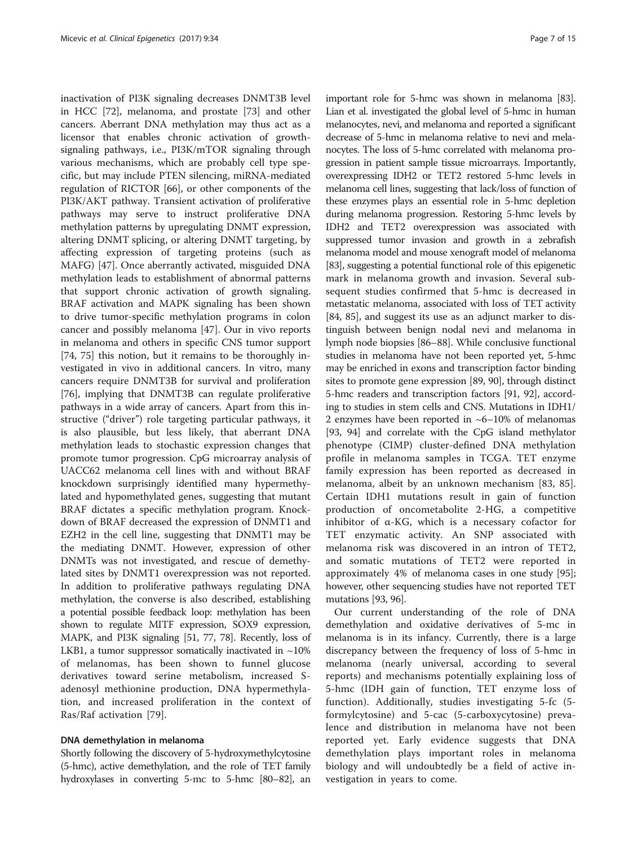inactivation of PI3K signaling decreases DNMT3B level in HCC [[72\]](#page-12-0), melanoma, and prostate [[73](#page-12-0)] and other cancers. Aberrant DNA methylation may thus act as a licensor that enables chronic activation of growthsignaling pathways, i.e., PI3K/mTOR signaling through various mechanisms, which are probably cell type specific, but may include PTEN silencing, miRNA-mediated regulation of RICTOR [\[66\]](#page-12-0), or other components of the PI3K/AKT pathway. Transient activation of proliferative pathways may serve to instruct proliferative DNA methylation patterns by upregulating DNMT expression, altering DNMT splicing, or altering DNMT targeting, by affecting expression of targeting proteins (such as MAFG) [[47\]](#page-12-0). Once aberrantly activated, misguided DNA methylation leads to establishment of abnormal patterns that support chronic activation of growth signaling. BRAF activation and MAPK signaling has been shown to drive tumor-specific methylation programs in colon cancer and possibly melanoma [[47\]](#page-12-0). Our in vivo reports in melanoma and others in specific CNS tumor support [[74, 75](#page-12-0)] this notion, but it remains to be thoroughly investigated in vivo in additional cancers. In vitro, many cancers require DNMT3B for survival and proliferation [[76\]](#page-12-0), implying that DNMT3B can regulate proliferative pathways in a wide array of cancers. Apart from this instructive ("driver") role targeting particular pathways, it is also plausible, but less likely, that aberrant DNA methylation leads to stochastic expression changes that promote tumor progression. CpG microarray analysis of UACC62 melanoma cell lines with and without BRAF knockdown surprisingly identified many hypermethylated and hypomethylated genes, suggesting that mutant BRAF dictates a specific methylation program. Knockdown of BRAF decreased the expression of DNMT1 and EZH2 in the cell line, suggesting that DNMT1 may be the mediating DNMT. However, expression of other DNMTs was not investigated, and rescue of demethylated sites by DNMT1 overexpression was not reported. In addition to proliferative pathways regulating DNA methylation, the converse is also described, establishing a potential possible feedback loop: methylation has been shown to regulate MITF expression, SOX9 expression, MAPK, and PI3K signaling [[51](#page-12-0), [77, 78](#page-12-0)]. Recently, loss of LKB1, a tumor suppressor somatically inactivated in  $\sim$ 10% of melanomas, has been shown to funnel glucose derivatives toward serine metabolism, increased Sadenosyl methionine production, DNA hypermethylation, and increased proliferation in the context of Ras/Raf activation [\[79](#page-12-0)].

#### DNA demethylation in melanoma

Shortly following the discovery of 5-hydroxymethylcytosine (5-hmc), active demethylation, and the role of TET family hydroxylases in converting 5-mc to 5-hmc [[80](#page-12-0)–[82](#page-12-0)], an

important role for 5-hmc was shown in melanoma [\[83](#page-12-0)]. Lian et al. investigated the global level of 5-hmc in human melanocytes, nevi, and melanoma and reported a significant decrease of 5-hmc in melanoma relative to nevi and melanocytes. The loss of 5-hmc correlated with melanoma progression in patient sample tissue microarrays. Importantly, overexpressing IDH2 or TET2 restored 5-hmc levels in melanoma cell lines, suggesting that lack/loss of function of these enzymes plays an essential role in 5-hmc depletion during melanoma progression. Restoring 5-hmc levels by IDH2 and TET2 overexpression was associated with suppressed tumor invasion and growth in a zebrafish melanoma model and mouse xenograft model of melanoma [[83](#page-12-0)], suggesting a potential functional role of this epigenetic mark in melanoma growth and invasion. Several subsequent studies confirmed that 5-hmc is decreased in metastatic melanoma, associated with loss of TET activity [[84](#page-13-0), [85\]](#page-13-0), and suggest its use as an adjunct marker to distinguish between benign nodal nevi and melanoma in lymph node biopsies [\[86](#page-13-0)–[88](#page-13-0)]. While conclusive functional studies in melanoma have not been reported yet, 5-hmc may be enriched in exons and transcription factor binding sites to promote gene expression [\[89, 90](#page-13-0)], through distinct 5-hmc readers and transcription factors [\[91, 92](#page-13-0)], according to studies in stem cells and CNS. Mutations in IDH1/ 2 enzymes have been reported in  $~6$ –10% of melanomas [[93](#page-13-0), [94](#page-13-0)] and correlate with the CpG island methylator phenotype (CIMP) cluster-defined DNA methylation profile in melanoma samples in TCGA. TET enzyme family expression has been reported as decreased in melanoma, albeit by an unknown mechanism [[83,](#page-12-0) [85](#page-13-0)]. Certain IDH1 mutations result in gain of function production of oncometabolite 2-HG, a competitive inhibitor of α-KG, which is a necessary cofactor for TET enzymatic activity. An SNP associated with melanoma risk was discovered in an intron of TET2, and somatic mutations of TET2 were reported in approximately 4% of melanoma cases in one study [[95](#page-13-0)]; however, other sequencing studies have not reported TET mutations [[93](#page-13-0), [96\]](#page-13-0).

Our current understanding of the role of DNA demethylation and oxidative derivatives of 5-mc in melanoma is in its infancy. Currently, there is a large discrepancy between the frequency of loss of 5-hmc in melanoma (nearly universal, according to several reports) and mechanisms potentially explaining loss of 5-hmc (IDH gain of function, TET enzyme loss of function). Additionally, studies investigating 5-fc (5 formylcytosine) and 5-cac (5-carboxycytosine) prevalence and distribution in melanoma have not been reported yet. Early evidence suggests that DNA demethylation plays important roles in melanoma biology and will undoubtedly be a field of active investigation in years to come.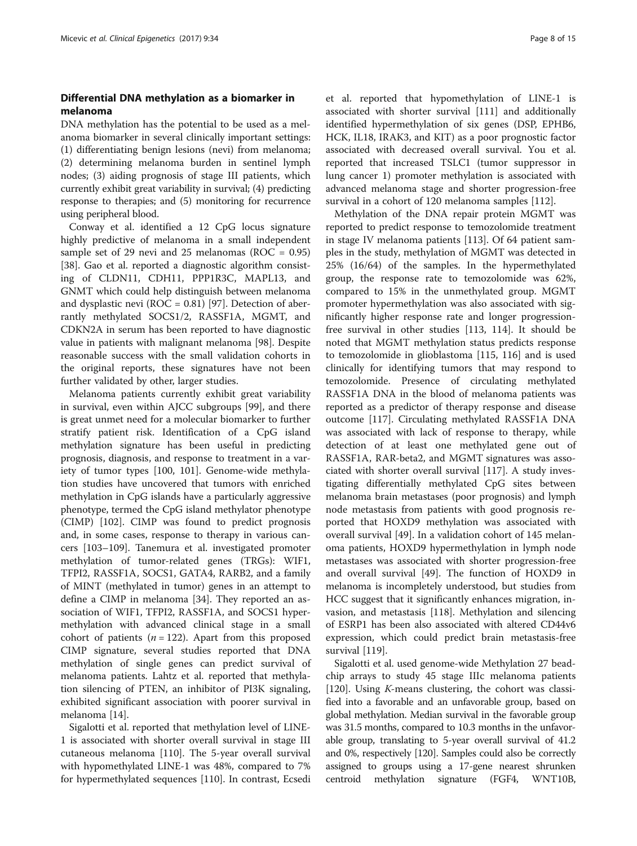# Differential DNA methylation as a biomarker in melanoma

DNA methylation has the potential to be used as a melanoma biomarker in several clinically important settings: (1) differentiating benign lesions (nevi) from melanoma; (2) determining melanoma burden in sentinel lymph nodes; (3) aiding prognosis of stage III patients, which currently exhibit great variability in survival; (4) predicting response to therapies; and (5) monitoring for recurrence using peripheral blood.

Conway et al. identified a 12 CpG locus signature highly predictive of melanoma in a small independent sample set of 29 nevi and 25 melanomas ( $ROC = 0.95$ ) [[38\]](#page-12-0). Gao et al. reported a diagnostic algorithm consisting of CLDN11, CDH11, PPP1R3C, MAPL13, and GNMT which could help distinguish between melanoma and dysplastic nevi ( $ROC = 0.81$ ) [[97\]](#page-13-0). Detection of aberrantly methylated SOCS1/2, RASSF1A, MGMT, and CDKN2A in serum has been reported to have diagnostic value in patients with malignant melanoma [[98](#page-13-0)]. Despite reasonable success with the small validation cohorts in the original reports, these signatures have not been further validated by other, larger studies.

Melanoma patients currently exhibit great variability in survival, even within AJCC subgroups [\[99](#page-13-0)], and there is great unmet need for a molecular biomarker to further stratify patient risk. Identification of a CpG island methylation signature has been useful in predicting prognosis, diagnosis, and response to treatment in a variety of tumor types [[100, 101\]](#page-13-0). Genome-wide methylation studies have uncovered that tumors with enriched methylation in CpG islands have a particularly aggressive phenotype, termed the CpG island methylator phenotype (CIMP) [\[102](#page-13-0)]. CIMP was found to predict prognosis and, in some cases, response to therapy in various cancers [[103](#page-13-0)–[109](#page-13-0)]. Tanemura et al. investigated promoter methylation of tumor-related genes (TRGs): WIF1, TFPI2, RASSF1A, SOCS1, GATA4, RARB2, and a family of MINT (methylated in tumor) genes in an attempt to define a CIMP in melanoma [\[34\]](#page-12-0). They reported an association of WIF1, TFPI2, RASSF1A, and SOCS1 hypermethylation with advanced clinical stage in a small cohort of patients  $(n = 122)$ . Apart from this proposed CIMP signature, several studies reported that DNA methylation of single genes can predict survival of melanoma patients. Lahtz et al. reported that methylation silencing of PTEN, an inhibitor of PI3K signaling, exhibited significant association with poorer survival in melanoma [\[14](#page-11-0)].

Sigalotti et al. reported that methylation level of LINE-1 is associated with shorter overall survival in stage III cutaneous melanoma [[110](#page-13-0)]. The 5-year overall survival with hypomethylated LINE-1 was 48%, compared to 7% for hypermethylated sequences [[110](#page-13-0)]. In contrast, Ecsedi

et al. reported that hypomethylation of LINE-1 is associated with shorter survival [\[111\]](#page-13-0) and additionally identified hypermethylation of six genes (DSP, EPHB6, HCK, IL18, IRAK3, and KIT) as a poor prognostic factor associated with decreased overall survival. You et al. reported that increased TSLC1 (tumor suppressor in lung cancer 1) promoter methylation is associated with advanced melanoma stage and shorter progression-free survival in a cohort of 120 melanoma samples [[112\]](#page-13-0).

Methylation of the DNA repair protein MGMT was reported to predict response to temozolomide treatment in stage IV melanoma patients [\[113\]](#page-13-0). Of 64 patient samples in the study, methylation of MGMT was detected in 25% (16/64) of the samples. In the hypermethylated group, the response rate to temozolomide was 62%, compared to 15% in the unmethylated group. MGMT promoter hypermethylation was also associated with significantly higher response rate and longer progressionfree survival in other studies [\[113, 114\]](#page-13-0). It should be noted that MGMT methylation status predicts response to temozolomide in glioblastoma [[115, 116](#page-13-0)] and is used clinically for identifying tumors that may respond to temozolomide. Presence of circulating methylated RASSF1A DNA in the blood of melanoma patients was reported as a predictor of therapy response and disease outcome [\[117\]](#page-13-0). Circulating methylated RASSF1A DNA was associated with lack of response to therapy, while detection of at least one methylated gene out of RASSF1A, RAR-beta2, and MGMT signatures was associated with shorter overall survival [[117\]](#page-13-0). A study investigating differentially methylated CpG sites between melanoma brain metastases (poor prognosis) and lymph node metastasis from patients with good prognosis reported that HOXD9 methylation was associated with overall survival [\[49](#page-12-0)]. In a validation cohort of 145 melanoma patients, HOXD9 hypermethylation in lymph node metastases was associated with shorter progression-free and overall survival [\[49](#page-12-0)]. The function of HOXD9 in melanoma is incompletely understood, but studies from HCC suggest that it significantly enhances migration, invasion, and metastasis [\[118](#page-13-0)]. Methylation and silencing of ESRP1 has been also associated with altered CD44v6 expression, which could predict brain metastasis-free survival [\[119](#page-13-0)].

Sigalotti et al. used genome-wide Methylation 27 beadchip arrays to study 45 stage IIIc melanoma patients [[120\]](#page-13-0). Using  $K$ -means clustering, the cohort was classified into a favorable and an unfavorable group, based on global methylation. Median survival in the favorable group was 31.5 months, compared to 10.3 months in the unfavorable group, translating to 5-year overall survival of 41.2 and 0%, respectively [[120\]](#page-13-0). Samples could also be correctly assigned to groups using a 17-gene nearest shrunken centroid methylation signature (FGF4, WNT10B,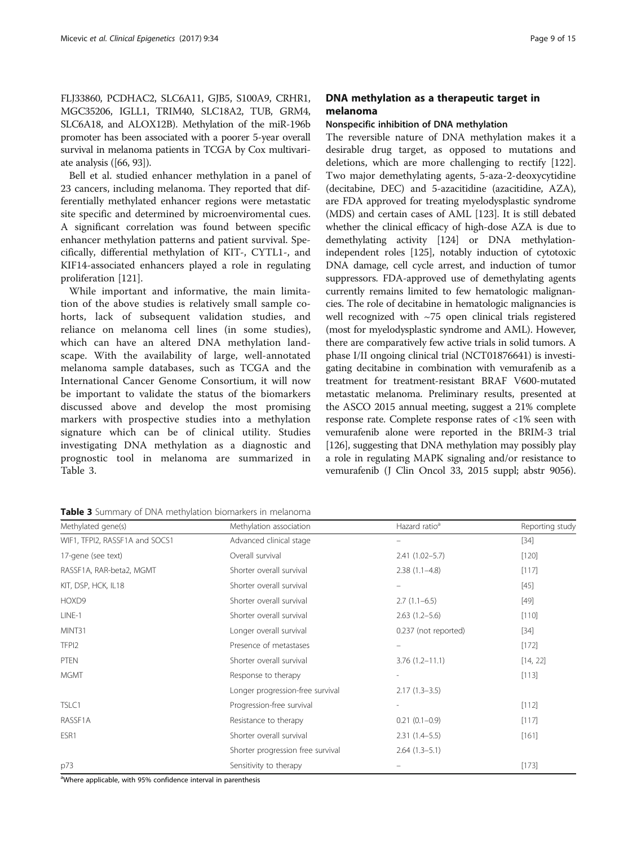FLJ33860, PCDHAC2, SLC6A11, GJB5, S100A9, CRHR1, MGC35206, IGLL1, TRIM40, SLC18A2, TUB, GRM4, SLC6A18, and ALOX12B). Methylation of the miR-196b promoter has been associated with a poorer 5-year overall survival in melanoma patients in TCGA by Cox multivariate analysis ([[66](#page-12-0), [93](#page-13-0)]).

Bell et al. studied enhancer methylation in a panel of 23 cancers, including melanoma. They reported that differentially methylated enhancer regions were metastatic site specific and determined by microenviromental cues. A significant correlation was found between specific enhancer methylation patterns and patient survival. Specifically, differential methylation of KIT-, CYTL1-, and KIF14-associated enhancers played a role in regulating proliferation [\[121](#page-13-0)].

While important and informative, the main limitation of the above studies is relatively small sample cohorts, lack of subsequent validation studies, and reliance on melanoma cell lines (in some studies), which can have an altered DNA methylation landscape. With the availability of large, well-annotated melanoma sample databases, such as TCGA and the International Cancer Genome Consortium, it will now be important to validate the status of the biomarkers discussed above and develop the most promising markers with prospective studies into a methylation signature which can be of clinical utility. Studies investigating DNA methylation as a diagnostic and prognostic tool in melanoma are summarized in Table 3.

# DNA methylation as a therapeutic target in melanoma

# Nonspecific inhibition of DNA methylation

The reversible nature of DNA methylation makes it a desirable drug target, as opposed to mutations and deletions, which are more challenging to rectify [[122](#page-13-0)]. Two major demethylating agents, 5-aza-2-deoxycytidine (decitabine, DEC) and 5-azacitidine (azacitidine, AZA), are FDA approved for treating myelodysplastic syndrome (MDS) and certain cases of AML [\[123\]](#page-13-0). It is still debated whether the clinical efficacy of high-dose AZA is due to demethylating activity [[124](#page-13-0)] or DNA methylationindependent roles [[125](#page-13-0)], notably induction of cytotoxic DNA damage, cell cycle arrest, and induction of tumor suppressors. FDA-approved use of demethylating agents currently remains limited to few hematologic malignancies. The role of decitabine in hematologic malignancies is well recognized with  $\sim$ 75 open clinical trials registered (most for myelodysplastic syndrome and AML). However, there are comparatively few active trials in solid tumors. A phase I/II ongoing clinical trial (NCT01876641) is investigating decitabine in combination with vemurafenib as a treatment for treatment-resistant BRAF V600-mutated metastatic melanoma. Preliminary results, presented at the ASCO 2015 annual meeting, suggest a 21% complete response rate. Complete response rates of <1% seen with vemurafenib alone were reported in the BRIM-3 trial [[126](#page-13-0)], suggesting that DNA methylation may possibly play a role in regulating MAPK signaling and/or resistance to vemurafenib (J Clin Oncol 33, 2015 suppl; abstr 9056).

Table 3 Summary of DNA methylation biomarkers in melanoma

| Methylated gene(s)             | Methylation association           | Hazard ratio <sup>a</sup> | Reporting study |
|--------------------------------|-----------------------------------|---------------------------|-----------------|
| WIF1, TFPI2, RASSF1A and SOCS1 | Advanced clinical stage           |                           | $[34]$          |
| 17-gene (see text)             | Overall survival                  | $2.41(1.02 - 5.7)$        | $[120]$         |
| RASSF1A, RAR-beta2, MGMT       | Shorter overall survival          | $2.38(1.1-4.8)$           | [117]           |
| KIT, DSP, HCK, IL18            | Shorter overall survival          |                           | $[45]$          |
| HOXD9                          | Shorter overall survival          | $2.7(1.1-6.5)$            | $[49]$          |
| LINE-1                         | Shorter overall survival          | $2.63(1.2-5.6)$           | [110]           |
| MINT31                         | Longer overall survival           | 0.237 (not reported)      | $[34]$          |
| TFPI2                          | Presence of metastases            |                           | $[172]$         |
| <b>PTEN</b>                    | Shorter overall survival          | $3.76(1.2 - 11.1)$        | [14, 22]        |
| <b>MGMT</b>                    | Response to therapy               |                           | [113]           |
|                                | Longer progression-free survival  | $2.17(1.3-3.5)$           |                 |
| TSLC1                          | Progression-free survival         | $\overline{\phantom{a}}$  | [112]           |
| RASSF1A                        | Resistance to therapy             | $0.21(0.1-0.9)$           | [117]           |
| ESR1                           | Shorter overall survival          | $2.31(1.4-5.5)$           | [161]           |
|                                | Shorter progression free survival | $2.64(1.3-5.1)$           |                 |
| p73                            | Sensitivity to therapy            |                           | [173]           |

<sup>a</sup>Where applicable, with 95% confidence interval in parenthesis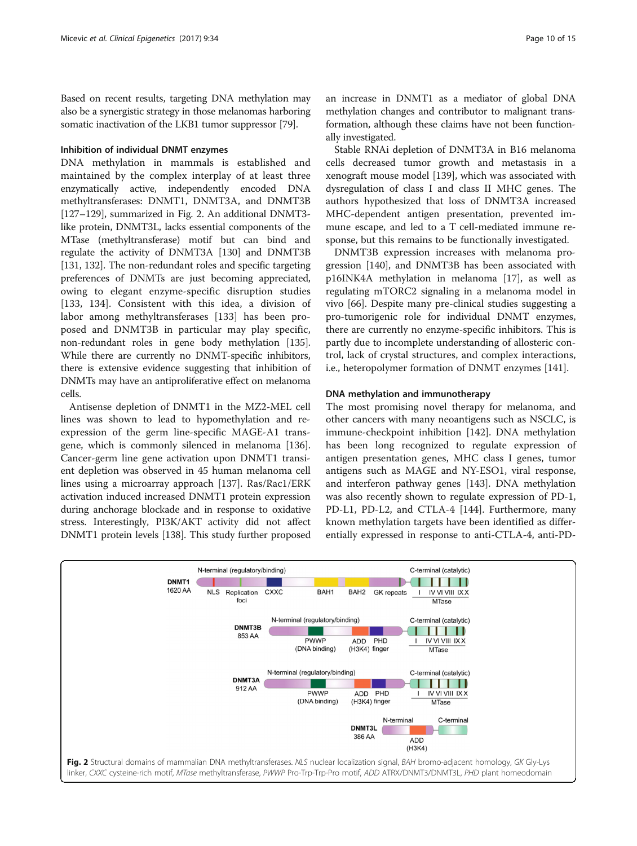Based on recent results, targeting DNA methylation may also be a synergistic strategy in those melanomas harboring somatic inactivation of the LKB1 tumor suppressor [\[79\]](#page-12-0).

# Inhibition of individual DNMT enzymes

DNA methylation in mammals is established and maintained by the complex interplay of at least three enzymatically active, independently encoded DNA methyltransferases: DNMT1, DNMT3A, and DNMT3B [[127](#page-13-0)–[129\]](#page-13-0), summarized in Fig. 2. An additional DNMT3 like protein, DNMT3L, lacks essential components of the MTase (methyltransferase) motif but can bind and regulate the activity of DNMT3A [\[130](#page-13-0)] and DNMT3B [[131](#page-13-0), [132](#page-13-0)]. The non-redundant roles and specific targeting preferences of DNMTs are just becoming appreciated, owing to elegant enzyme-specific disruption studies [[133, 134\]](#page-13-0). Consistent with this idea, a division of labor among methyltransferases [[133\]](#page-13-0) has been proposed and DNMT3B in particular may play specific, non-redundant roles in gene body methylation [[135](#page-13-0)]. While there are currently no DNMT-specific inhibitors, there is extensive evidence suggesting that inhibition of DNMTs may have an antiproliferative effect on melanoma cells.

Antisense depletion of DNMT1 in the MZ2-MEL cell lines was shown to lead to hypomethylation and reexpression of the germ line-specific MAGE-A1 transgene, which is commonly silenced in melanoma [\[136](#page-13-0)]. Cancer-germ line gene activation upon DNMT1 transient depletion was observed in 45 human melanoma cell lines using a microarray approach [[137\]](#page-13-0). Ras/Rac1/ERK activation induced increased DNMT1 protein expression during anchorage blockade and in response to oxidative stress. Interestingly, PI3K/AKT activity did not affect DNMT1 protein levels [\[138](#page-13-0)]. This study further proposed an increase in DNMT1 as a mediator of global DNA methylation changes and contributor to malignant transformation, although these claims have not been functionally investigated.

Stable RNAi depletion of DNMT3A in B16 melanoma cells decreased tumor growth and metastasis in a xenograft mouse model [[139](#page-13-0)], which was associated with dysregulation of class I and class II MHC genes. The authors hypothesized that loss of DNMT3A increased MHC-dependent antigen presentation, prevented immune escape, and led to a T cell-mediated immune response, but this remains to be functionally investigated.

DNMT3B expression increases with melanoma progression [\[140](#page-14-0)], and DNMT3B has been associated with p16INK4A methylation in melanoma [[17\]](#page-11-0), as well as regulating mTORC2 signaling in a melanoma model in vivo [\[66\]](#page-12-0). Despite many pre-clinical studies suggesting a pro-tumorigenic role for individual DNMT enzymes, there are currently no enzyme-specific inhibitors. This is partly due to incomplete understanding of allosteric control, lack of crystal structures, and complex interactions, i.e., heteropolymer formation of DNMT enzymes [\[141\]](#page-14-0).

### DNA methylation and immunotherapy

The most promising novel therapy for melanoma, and other cancers with many neoantigens such as NSCLC, is immune-checkpoint inhibition [\[142\]](#page-14-0). DNA methylation has been long recognized to regulate expression of antigen presentation genes, MHC class I genes, tumor antigens such as MAGE and NY-ESO1, viral response, and interferon pathway genes [[143\]](#page-14-0). DNA methylation was also recently shown to regulate expression of PD-1, PD-L1, PD-L2, and CTLA-4 [\[144\]](#page-14-0). Furthermore, many known methylation targets have been identified as differentially expressed in response to anti-CTLA-4, anti-PD-

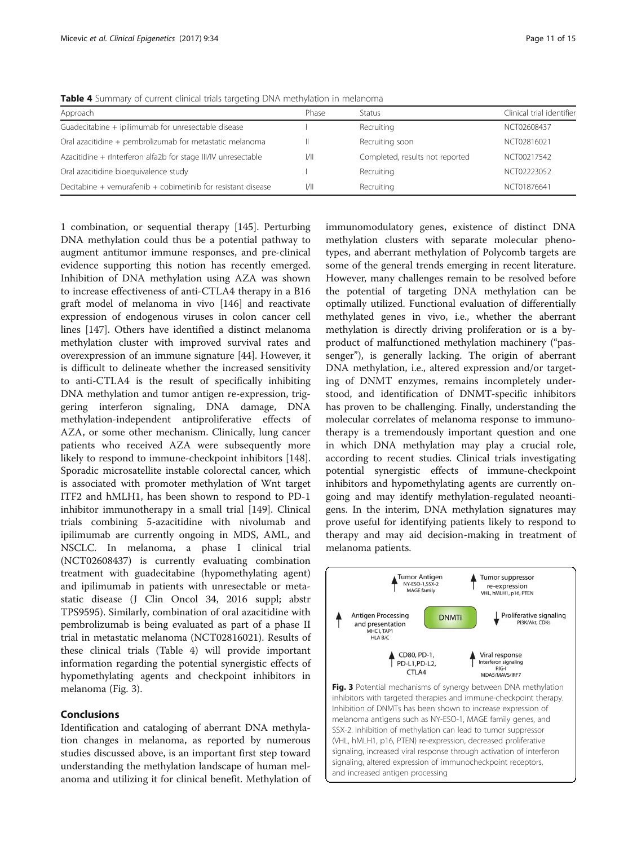| Approach                                                       | Phase | Status                          | Clinical trial identifier |
|----------------------------------------------------------------|-------|---------------------------------|---------------------------|
| Guadecitabine + ipilimumab for unresectable disease            |       | Recruiting                      | NCT02608437               |
| Oral azacitidine + pembrolizumab for metastatic melanoma       |       | Recruiting soon                 | NCT02816021               |
| Azacitidine + rlnterferon alfa2b for stage III/IV unresectable | 1/11  | Completed, results not reported | NCT00217542               |
| Oral azacitidine bioequivalence study                          |       | Recruiting                      | NCT02223052               |
| Decitabine + vemurafenib + cobimetinib for resistant disease   | IЛI   | Recruiting                      | NCT01876641               |

**Table 4** Summary of current clinical trials targeting DNA methylation in melanoma

1 combination, or sequential therapy [\[145\]](#page-14-0). Perturbing DNA methylation could thus be a potential pathway to augment antitumor immune responses, and pre-clinical evidence supporting this notion has recently emerged. Inhibition of DNA methylation using AZA was shown to increase effectiveness of anti-CTLA4 therapy in a B16 graft model of melanoma in vivo [[146](#page-14-0)] and reactivate expression of endogenous viruses in colon cancer cell lines [[147\]](#page-14-0). Others have identified a distinct melanoma methylation cluster with improved survival rates and overexpression of an immune signature [\[44](#page-12-0)]. However, it is difficult to delineate whether the increased sensitivity to anti-CTLA4 is the result of specifically inhibiting DNA methylation and tumor antigen re-expression, triggering interferon signaling, DNA damage, DNA methylation-independent antiproliferative effects of AZA, or some other mechanism. Clinically, lung cancer patients who received AZA were subsequently more likely to respond to immune-checkpoint inhibitors [\[148](#page-14-0)]. Sporadic microsatellite instable colorectal cancer, which is associated with promoter methylation of Wnt target ITF2 and hMLH1, has been shown to respond to PD-1 inhibitor immunotherapy in a small trial [\[149](#page-14-0)]. Clinical trials combining 5-azacitidine with nivolumab and ipilimumab are currently ongoing in MDS, AML, and NSCLC. In melanoma, a phase I clinical trial (NCT02608437) is currently evaluating combination treatment with guadecitabine (hypomethylating agent) and ipilimumab in patients with unresectable or metastatic disease (J Clin Oncol 34, 2016 suppl; abstr TPS9595). Similarly, combination of oral azacitidine with pembrolizumab is being evaluated as part of a phase II trial in metastatic melanoma (NCT02816021). Results of these clinical trials (Table 4) will provide important information regarding the potential synergistic effects of hypomethylating agents and checkpoint inhibitors in melanoma (Fig. 3).

# Conclusions

Identification and cataloging of aberrant DNA methylation changes in melanoma, as reported by numerous studies discussed above, is an important first step toward understanding the methylation landscape of human melanoma and utilizing it for clinical benefit. Methylation of immunomodulatory genes, existence of distinct DNA methylation clusters with separate molecular phenotypes, and aberrant methylation of Polycomb targets are some of the general trends emerging in recent literature. However, many challenges remain to be resolved before the potential of targeting DNA methylation can be optimally utilized. Functional evaluation of differentially methylated genes in vivo, i.e., whether the aberrant methylation is directly driving proliferation or is a byproduct of malfunctioned methylation machinery ("passenger"), is generally lacking. The origin of aberrant DNA methylation, i.e., altered expression and/or targeting of DNMT enzymes, remains incompletely understood, and identification of DNMT-specific inhibitors has proven to be challenging. Finally, understanding the molecular correlates of melanoma response to immunotherapy is a tremendously important question and one in which DNA methylation may play a crucial role, according to recent studies. Clinical trials investigating potential synergistic effects of immune-checkpoint inhibitors and hypomethylating agents are currently ongoing and may identify methylation-regulated neoantigens. In the interim, DNA methylation signatures may prove useful for identifying patients likely to respond to therapy and may aid decision-making in treatment of melanoma patients.



SSX-2. Inhibition of methylation can lead to tumor suppressor (VHL, hMLH1, p16, PTEN) re-expression, decreased proliferative signaling, increased viral response through activation of interferon signaling, altered expression of immunocheckpoint receptors, and increased antigen processing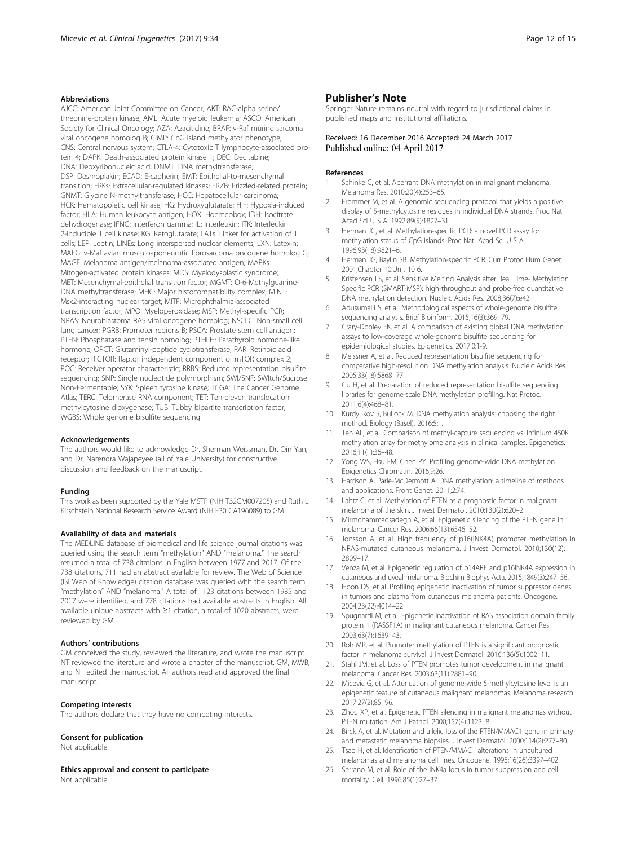#### <span id="page-11-0"></span>Abbreviations

AJCC: American Joint Committee on Cancer; AKT: RAC-alpha serine/ threonine-protein kinase; AML: Acute myeloid leukemia; ASCO: American Society for Clinical Oncology; AZA: Azacitidine; BRAF: v-Raf murine sarcoma viral oncogene homolog B; CIMP: CpG island methylator phenotype; CNS: Central nervous system; CTLA-4: Cytotoxic T lymphocyte-associated protein 4; DAPK: Death-associated protein kinase 1; DEC: Decitabine; DNA: Deoxyribonucleic acid; DNMT: DNA methyltransferase; DSP: Desmoplakin; ECAD: E-cadherin; EMT: Epithelial-to-mesenchymal transition; ERKs: Extracellular-regulated kinases; FRZB: Frizzled-related protein; GNMT: Glycine N-methyltransferase; HCC: Hepatocellular carcinoma; HCK: Hematopoietic cell kinase; HG: Hydroxyglutarate; HIF: Hypoxia-induced factor; HLA: Human leukocyte antigen; HOX: Hoemeobox; IDH: Isocitrate dehydrogenase; IFNG: Interferon gamma; IL: Interleukin; ITK: Interleukin 2-inducible T cell kinase; KG: Ketoglutarate; LATs: Linker for activation of T cells; LEP: Leptin; LINEs: Long interspersed nuclear elements; LXN: Latexin; MAFG: v-Maf avian musculoaponeurotic fibrosarcoma oncogene homolog G; MAGE: Melanoma antigen/melanoma-associated antigen; MAPKs: Mitogen-activated protein kinases; MDS: Myelodysplastic syndrome; MET: Mesenchymal-epithelial transition factor; MGMT: O-6-Methylguanine-DNA methyltransferase; MHC: Major histocompatibility complex; MINT: Msx2-interacting nuclear target; MITF: Microphthalmia-associated transcription factor; MPO: Myeloperoxidase; MSP: Methyl-specific PCR; NRAS: Neuroblastoma RAS viral oncogene homolog; NSCLC: Non-small cell lung cancer; PGRB: Promoter regions B; PSCA: Prostate stem cell antigen; PTEN: Phosphatase and tensin homolog; PTHLH: Parathyroid hormone-like hormone; QPCT: Glutaminyl-peptide cyclotransferase; RAR: Retinoic acid receptor; RICTOR: Raptor independent component of mTOR complex 2; ROC: Receiver operator characteristic; RRBS: Reduced representation bisulfite sequencing; SNP: Single nucleotide polymorphism; SWI/SNF: SWItch/Sucrose Non-Fermentable; SYK: Spleen tyrosine kinase; TCGA: The Cancer Genome Atlas; TERC: Telomerase RNA component; TET: Ten-eleven translocation methylcytosine dioxygenase; TUB: Tubby bipartite transcription factor; WGBS: Whole genome bisulfite sequencing

#### Acknowledgements

The authors would like to acknowledge Dr. Sherman Weissman, Dr. Qin Yan, and Dr. Narendra Wajapeyee (all of Yale University) for constructive discussion and feedback on the manuscript.

#### Funding

This work as been supported by the Yale MSTP (NIH T32GM007205) and Ruth L. Kirschstein National Research Service Award (NIH F30 CA196089) to GM.

#### Availability of data and materials

The MEDLINE database of biomedical and life science journal citations was queried using the search term "methylation" AND "melanoma." The search returned a total of 738 citations in English between 1977 and 2017. Of the 738 citations, 711 had an abstract available for review. The Web of Science (ISI Web of Knowledge) citation database was queried with the search term "methylation" AND "melanoma." A total of 1123 citations between 1985 and 2017 were identified, and 778 citations had available abstracts in English. All available unique abstracts with ≥1 citation, a total of 1020 abstracts, were reviewed by GM.

#### Authors' contributions

GM conceived the study, reviewed the literature, and wrote the manuscript. NT reviewed the literature and wrote a chapter of the manuscript. GM, MWB, and NT edited the manuscript. All authors read and approved the final manuscript.

#### Competing interests

The authors declare that they have no competing interests.

#### Consent for publication

Not applicable.

# Ethics approval and consent to participate

Not applicable.

#### Publisher's Note

Springer Nature remains neutral with regard to jurisdictional claims in published maps and institutional affiliations.

#### Received: 16 December 2016 Accepted: 24 March 2017 Published online: 04 April 2017

#### References

- 1. Schinke C, et al. Aberrant DNA methylation in malignant melanoma. Melanoma Res. 2010;20(4):253–65.
- 2. Frommer M, et al. A genomic sequencing protocol that yields a positive display of 5-methylcytosine residues in individual DNA strands. Proc Natl Acad Sci U S A. 1992;89(5):1827–31.
- 3. Herman JG, et al. Methylation-specific PCR: a novel PCR assay for methylation status of CpG islands. Proc Natl Acad Sci U S A. 1996;93(18):9821–6.
- 4. Herman JG, Baylin SB. Methylation-specific PCR. Curr Protoc Hum Genet. 2001;Chapter 10:Unit 10 6.
- 5. Kristensen LS, et al. Sensitive Melting Analysis after Real Time- Methylation Specific PCR (SMART-MSP): high-throughput and probe-free quantitative DNA methylation detection. Nucleic Acids Res. 2008;36(7):e42.
- 6. Adusumalli S, et al. Methodological aspects of whole-genome bisulfite sequencing analysis. Brief Bioinform. 2015;16(3):369–79.
- 7. Crary-Dooley FK, et al. A comparison of existing global DNA methylation assays to low-coverage whole-genome bisulfite sequencing for epidemiological studies. Epigenetics. 2017:0:1-9.
- 8. Meissner A, et al. Reduced representation bisulfite sequencing for comparative high-resolution DNA methylation analysis. Nucleic Acids Res. 2005;33(18):5868–77.
- 9. Gu H, et al. Preparation of reduced representation bisulfite sequencing libraries for genome-scale DNA methylation profiling. Nat Protoc. 2011;6(4):468–81.
- 10. Kurdyukov S, Bullock M. DNA methylation analysis: choosing the right method. Biology (Basel). 2016;5:1.
- 11. Teh AL, et al. Comparison of methyl-capture sequencing vs. Infinium 450K methylation array for methylome analysis in clinical samples. Epigenetics. 2016;11(1):36–48.
- 12. Yong WS, Hsu FM, Chen PY. Profiling genome-wide DNA methylation. Epigenetics Chromatin. 2016;9:26.
- 13. Harrison A, Parle-McDermott A. DNA methylation: a timeline of methods and applications. Front Genet. 2011;2:74.
- 14. Lahtz C, et al. Methylation of PTEN as a prognostic factor in malignant melanoma of the skin. J Invest Dermatol. 2010;130(2):620–2.
- 15. Mirmohammadsadegh A, et al. Epigenetic silencing of the PTEN gene in melanoma. Cancer Res. 2006;66(13):6546–52.
- 16. Jonsson A, et al. High frequency of p16(INK4A) promoter methylation in NRAS-mutated cutaneous melanoma. J Invest Dermatol. 2010;130(12): 2809–17.
- 17. Venza M, et al. Epigenetic regulation of p14ARF and p16INK4A expression in cutaneous and uveal melanoma. Biochim Biophys Acta. 2015;1849(3):247–56.
- 18. Hoon DS, et al. Profiling epigenetic inactivation of tumor suppressor genes in tumors and plasma from cutaneous melanoma patients. Oncogene. 2004;23(22):4014–22.
- 19. Spugnardi M, et al. Epigenetic inactivation of RAS association domain family protein 1 (RASSF1A) in malignant cutaneous melanoma. Cancer Res. 2003;63(7):1639–43.
- 20. Roh MR, et al. Promoter methylation of PTEN is a significant prognostic factor in melanoma survival. J Invest Dermatol. 2016;136(5):1002–11.
- 21. Stahl JM, et al. Loss of PTEN promotes tumor development in malignant melanoma. Cancer Res. 2003;63(11):2881–90.
- 22. Micevic G, et al. Attenuation of genome-wide 5-methylcytosine level is an epigenetic feature of cutaneous malignant melanomas. Melanoma research. 2017;27(2):85–96.
- 23. Zhou XP, et al. Epigenetic PTEN silencing in malignant melanomas without PTEN mutation. Am J Pathol. 2000;157(4):1123–8.
- 24. Birck A, et al. Mutation and allelic loss of the PTEN/MMAC1 gene in primary and metastatic melanoma biopsies. J Invest Dermatol. 2000;114(2):277–80.
- 25. Tsao H, et al. Identification of PTEN/MMAC1 alterations in uncultured melanomas and melanoma cell lines. Oncogene. 1998;16(26):3397–402.
- 26. Serrano M, et al. Role of the INK4a locus in tumor suppression and cell mortality. Cell. 1996;85(1):27–37.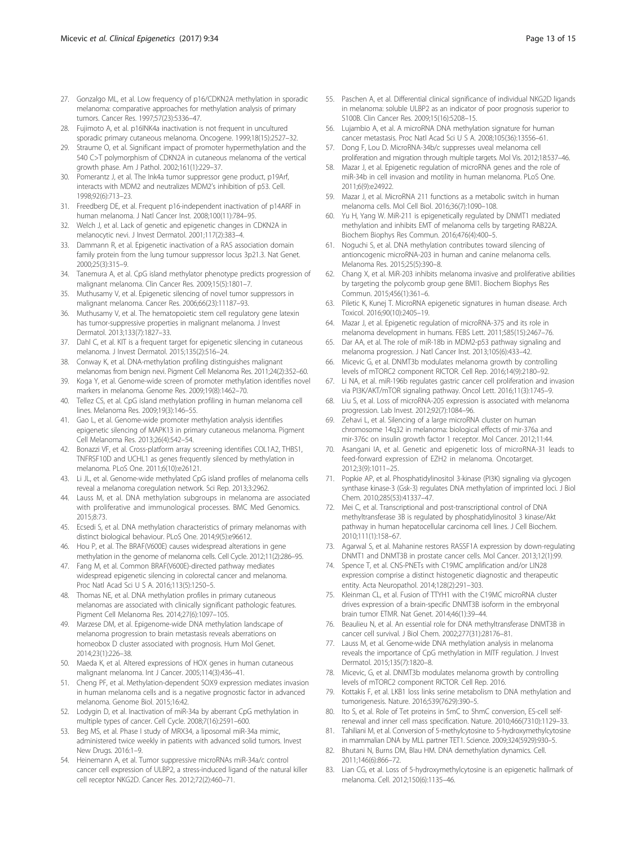- <span id="page-12-0"></span>27. Gonzalgo ML, et al. Low frequency of p16/CDKN2A methylation in sporadic melanoma: comparative approaches for methylation analysis of primary tumors. Cancer Res. 1997;57(23):5336–47.
- 28. Fujimoto A, et al. p16INK4a inactivation is not frequent in uncultured sporadic primary cutaneous melanoma. Oncogene. 1999;18(15):2527–32.
- 29. Straume O, et al. Significant impact of promoter hypermethylation and the 540 C>T polymorphism of CDKN2A in cutaneous melanoma of the vertical growth phase. Am J Pathol. 2002;161(1):229–37.
- 30. Pomerantz J, et al. The Ink4a tumor suppressor gene product, p19Arf, interacts with MDM2 and neutralizes MDM2's inhibition of p53. Cell. 1998;92(6):713–23.
- 31. Freedberg DE, et al. Frequent p16-independent inactivation of p14ARF in human melanoma. J Natl Cancer Inst. 2008;100(11):784–95.
- 32. Welch J, et al. Lack of genetic and epigenetic changes in CDKN2A in melanocytic nevi. J Invest Dermatol. 2001;117(2):383–4.
- 33. Dammann R, et al. Epigenetic inactivation of a RAS association domain family protein from the lung tumour suppressor locus 3p21.3. Nat Genet. 2000;25(3):315–9.
- 34. Tanemura A, et al. CpG island methylator phenotype predicts progression of malignant melanoma. Clin Cancer Res. 2009;15(5):1801–7.
- 35. Muthusamy V, et al. Epigenetic silencing of novel tumor suppressors in malignant melanoma. Cancer Res. 2006;66(23):11187–93.
- 36. Muthusamy V, et al. The hematopoietic stem cell regulatory gene latexin has tumor-suppressive properties in malignant melanoma. J Invest Dermatol. 2013;133(7):1827–33.
- 37. Dahl C, et al. KIT is a frequent target for epigenetic silencing in cutaneous melanoma. J Invest Dermatol. 2015;135(2):516–24.
- 38. Conway K, et al. DNA-methylation profiling distinguishes malignant melanomas from benign nevi. Pigment Cell Melanoma Res. 2011;24(2):352–60.
- 39. Koga Y, et al. Genome-wide screen of promoter methylation identifies novel markers in melanoma. Genome Res. 2009;19(8):1462–70.
- 40. Tellez CS, et al. CpG island methylation profiling in human melanoma cell lines. Melanoma Res. 2009;19(3):146–55.
- 41. Gao L, et al. Genome-wide promoter methylation analysis identifies epigenetic silencing of MAPK13 in primary cutaneous melanoma. Pigment Cell Melanoma Res. 2013;26(4):542–54.
- 42. Bonazzi VF, et al. Cross-platform array screening identifies COL1A2, THBS1, TNFRSF10D and UCHL1 as genes frequently silenced by methylation in melanoma. PLoS One. 2011;6(10):e26121.
- 43. Li JL, et al. Genome-wide methylated CpG island profiles of melanoma cells reveal a melanoma coregulation network. Sci Rep. 2013;3:2962.
- 44. Lauss M, et al. DNA methylation subgroups in melanoma are associated with proliferative and immunological processes. BMC Med Genomics. 2015;8:73.
- 45. Ecsedi S, et al. DNA methylation characteristics of primary melanomas with distinct biological behaviour. PLoS One. 2014;9(5):e96612.
- 46. Hou P, et al. The BRAF(V600E) causes widespread alterations in gene methylation in the genome of melanoma cells. Cell Cycle. 2012;11(2):286–95.
- 47. Fang M, et al. Common BRAF(V600E)-directed pathway mediates widespread epigenetic silencing in colorectal cancer and melanoma. Proc Natl Acad Sci U S A. 2016;113(5):1250–5.
- 48. Thomas NE, et al. DNA methylation profiles in primary cutaneous melanomas are associated with clinically significant pathologic features. Pigment Cell Melanoma Res. 2014;27(6):1097–105.
- 49. Marzese DM, et al. Epigenome-wide DNA methylation landscape of melanoma progression to brain metastasis reveals aberrations on homeobox D cluster associated with prognosis. Hum Mol Genet. 2014;23(1):226–38.
- 50. Maeda K, et al. Altered expressions of HOX genes in human cutaneous malignant melanoma. Int J Cancer. 2005;114(3):436–41.
- 51. Cheng PF, et al. Methylation-dependent SOX9 expression mediates invasion in human melanoma cells and is a negative prognostic factor in advanced melanoma. Genome Biol. 2015;16:42.
- 52. Lodygin D, et al. Inactivation of miR-34a by aberrant CpG methylation in multiple types of cancer. Cell Cycle. 2008;7(16):2591–600.
- 53. Beg MS, et al. Phase I study of MRX34, a liposomal miR-34a mimic, administered twice weekly in patients with advanced solid tumors. Invest New Drugs. 2016:1–9.
- 54. Heinemann A, et al. Tumor suppressive microRNAs miR-34a/c control cancer cell expression of ULBP2, a stress-induced ligand of the natural killer cell receptor NKG2D. Cancer Res. 2012;72(2):460–71.
- 55. Paschen A, et al. Differential clinical significance of individual NKG2D ligands in melanoma: soluble ULBP2 as an indicator of poor prognosis superior to S100B. Clin Cancer Res. 2009;15(16):5208–15.
- 56. Lujambio A, et al. A microRNA DNA methylation signature for human cancer metastasis. Proc Natl Acad Sci U S A. 2008;105(36):13556–61.
- 57. Dong F, Lou D. MicroRNA-34b/c suppresses uveal melanoma cell proliferation and migration through multiple targets. Mol Vis. 2012;18:537–46.
- 58. Mazar J, et al. Epigenetic regulation of microRNA genes and the role of miR-34b in cell invasion and motility in human melanoma. PLoS One. 2011;6(9):e24922.
- 59. Mazar J, et al. MicroRNA 211 functions as a metabolic switch in human melanoma cells. Mol Cell Biol. 2016;36(7):1090–108.
- 60. Yu H, Yang W. MiR-211 is epigenetically regulated by DNMT1 mediated methylation and inhibits EMT of melanoma cells by targeting RAB22A. Biochem Biophys Res Commun. 2016;476(4):400–5.
- 61. Noguchi S, et al. DNA methylation contributes toward silencing of antioncogenic microRNA-203 in human and canine melanoma cells. Melanoma Res. 2015;25(5):390–8.
- 62. Chang X, et al. MiR-203 inhibits melanoma invasive and proliferative abilities by targeting the polycomb group gene BMI1. Biochem Biophys Res Commun. 2015;456(1):361–6.
- 63. Piletic K, Kunej T. MicroRNA epigenetic signatures in human disease. Arch Toxicol. 2016;90(10):2405–19.
- 64. Mazar J, et al. Epigenetic regulation of microRNA-375 and its role in melanoma development in humans. FEBS Lett. 2011;585(15):2467–76.
- 65. Dar AA, et al. The role of miR-18b in MDM2-p53 pathway signaling and melanoma progression. J Natl Cancer Inst. 2013;105(6):433–42.
- 66. Micevic G, et al. DNMT3b modulates melanoma growth by controlling levels of mTORC2 component RICTOR. Cell Rep. 2016;14(9):2180–92.
- 67. Li NA, et al. miR-196b regulates gastric cancer cell proliferation and invasion via PI3K/AKT/mTOR signaling pathway. Oncol Lett. 2016;11(3):1745–9.
- 68. Liu S, et al. Loss of microRNA-205 expression is associated with melanoma progression. Lab Invest. 2012;92(7):1084–96.
- 69. Zehavi L, et al. Silencing of a large microRNA cluster on human chromosome 14q32 in melanoma: biological effects of mir-376a and mir-376c on insulin growth factor 1 receptor. Mol Cancer. 2012;11:44.
- 70. Asangani IA, et al. Genetic and epigenetic loss of microRNA-31 leads to feed-forward expression of EZH2 in melanoma. Oncotarget. 2012;3(9):1011–25.
- 71. Popkie AP, et al. Phosphatidylinositol 3-kinase (PI3K) signaling via glycogen synthase kinase-3 (Gsk-3) regulates DNA methylation of imprinted loci. J Biol Chem. 2010;285(53):41337–47.
- 72. Mei C, et al. Transcriptional and post-transcriptional control of DNA methyltransferase 3B is regulated by phosphatidylinositol 3 kinase/Akt pathway in human hepatocellular carcinoma cell lines. J Cell Biochem. 2010;111(1):158–67.
- 73. Agarwal S, et al. Mahanine restores RASSF1A expression by down-regulating DNMT1 and DNMT3B in prostate cancer cells. Mol Cancer. 2013;12(1):99.
- 74. Spence T, et al. CNS-PNETs with C19MC amplification and/or LIN28 expression comprise a distinct histogenetic diagnostic and therapeutic entity. Acta Neuropathol. 2014;128(2):291–303.
- 75. Kleinman CL, et al. Fusion of TTYH1 with the C19MC microRNA cluster drives expression of a brain-specific DNMT3B isoform in the embryonal brain tumor ETMR. Nat Genet. 2014;46(1):39–44.
- 76. Beaulieu N, et al. An essential role for DNA methyltransferase DNMT3B in cancer cell survival. J Biol Chem. 2002;277(31):28176–81.
- 77. Lauss M, et al. Genome-wide DNA methylation analysis in melanoma reveals the importance of CpG methylation in MITF regulation. J Invest Dermatol. 2015;135(7):1820–8.
- 78. Micevic, G, et al. DNMT3b modulates melanoma growth by controlling levels of mTORC2 component RICTOR. Cell Rep. 2016.
- 79. Kottakis F, et al. LKB1 loss links serine metabolism to DNA methylation and tumorigenesis. Nature. 2016;539(7629):390–5.
- 80. Ito S, et al. Role of Tet proteins in 5mC to 5hmC conversion, ES-cell selfrenewal and inner cell mass specification. Nature. 2010;466(7310):1129–33.
- 81. Tahiliani M, et al. Conversion of 5-methylcytosine to 5-hydroxymethylcytosine in mammalian DNA by MLL partner TET1. Science. 2009;324(5929):930–5.
- 82. Bhutani N, Burns DM, Blau HM. DNA demethylation dynamics. Cell. 2011;146(6):866–72.
- 83. Lian CG, et al. Loss of 5-hydroxymethylcytosine is an epigenetic hallmark of melanoma. Cell. 2012;150(6):1135–46.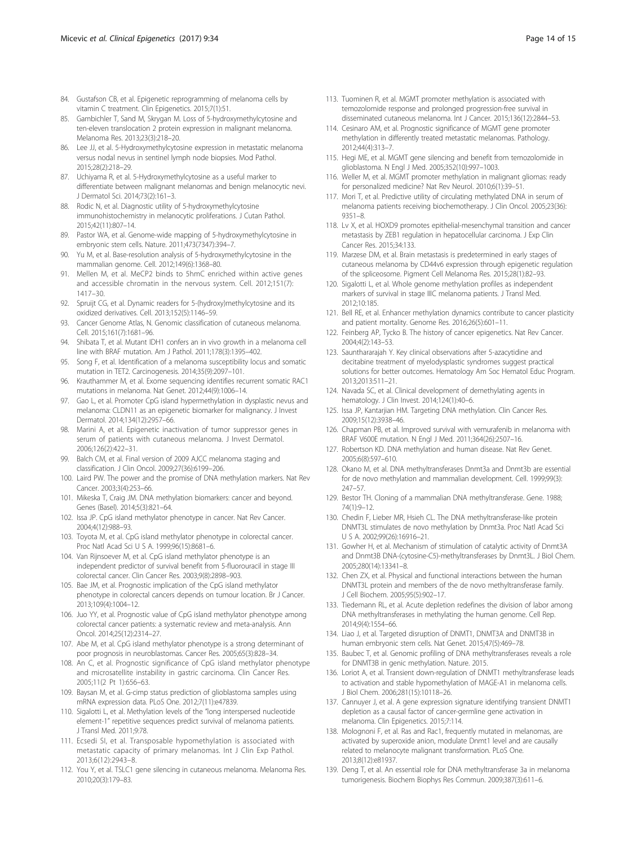- <span id="page-13-0"></span>84. Gustafson CB, et al. Epigenetic reprogramming of melanoma cells by vitamin C treatment. Clin Epigenetics. 2015;7(1):51.
- 85. Gambichler T, Sand M, Skrygan M. Loss of 5-hydroxymethylcytosine and ten-eleven translocation 2 protein expression in malignant melanoma. Melanoma Res. 2013;23(3):218–20.
- 86. Lee JJ, et al. 5-Hydroxymethylcytosine expression in metastatic melanoma versus nodal nevus in sentinel lymph node biopsies. Mod Pathol. 2015;28(2):218–29.
- 87. Uchiyama R, et al. 5-Hydroxymethylcytosine as a useful marker to differentiate between malignant melanomas and benign melanocytic nevi. J Dermatol Sci. 2014;73(2):161–3.
- 88. Rodic N, et al. Diagnostic utility of 5-hydroxymethylcytosine immunohistochemistry in melanocytic proliferations. J Cutan Pathol. 2015;42(11):807–14.
- 89. Pastor WA, et al. Genome-wide mapping of 5-hydroxymethylcytosine in embryonic stem cells. Nature. 2011;473(7347):394–7.
- 90. Yu M, et al. Base-resolution analysis of 5-hydroxymethylcytosine in the mammalian genome. Cell. 2012;149(6):1368–80.
- 91. Mellen M, et al. MeCP2 binds to 5hmC enriched within active genes and accessible chromatin in the nervous system. Cell. 2012;151(7): 1417–30.
- 92. Spruijt CG, et al. Dynamic readers for 5-(hydroxy)methylcytosine and its oxidized derivatives. Cell. 2013;152(5):1146–59.
- 93. Cancer Genome Atlas, N. Genomic classification of cutaneous melanoma. Cell. 2015;161(7):1681–96.
- 94. Shibata T, et al. Mutant IDH1 confers an in vivo growth in a melanoma cell line with BRAF mutation. Am J Pathol. 2011;178(3):1395–402.
- 95. Song F, et al. Identification of a melanoma susceptibility locus and somatic mutation in TET2. Carcinogenesis. 2014;35(9):2097–101.
- 96. Krauthammer M, et al. Exome sequencing identifies recurrent somatic RAC1 mutations in melanoma. Nat Genet. 2012;44(9):1006–14.
- 97. Gao L, et al. Promoter CpG island hypermethylation in dysplastic nevus and melanoma: CLDN11 as an epigenetic biomarker for malignancy. J Invest Dermatol. 2014;134(12):2957–66.
- 98. Marini A, et al. Epigenetic inactivation of tumor suppressor genes in serum of patients with cutaneous melanoma. J Invest Dermatol. 2006;126(2):422–31.
- 99. Balch CM, et al. Final version of 2009 AJCC melanoma staging and classification. J Clin Oncol. 2009;27(36):6199–206.
- 100. Laird PW. The power and the promise of DNA methylation markers. Nat Rev Cancer. 2003;3(4):253–66.
- 101. Mikeska T, Craig JM. DNA methylation biomarkers: cancer and beyond. Genes (Basel). 2014;5(3):821–64.
- 102. Issa JP. CpG island methylator phenotype in cancer. Nat Rev Cancer. 2004;4(12):988–93.
- 103. Toyota M, et al. CpG island methylator phenotype in colorectal cancer. Proc Natl Acad Sci U S A. 1999;96(15):8681–6.
- 104. Van Rijnsoever M, et al. CpG island methylator phenotype is an independent predictor of survival benefit from 5-fluorouracil in stage III colorectal cancer. Clin Cancer Res. 2003;9(8):2898–903.
- 105. Bae JM, et al. Prognostic implication of the CpG island methylator phenotype in colorectal cancers depends on tumour location. Br J Cancer. 2013;109(4):1004–12.
- 106. Juo YY, et al. Prognostic value of CpG island methylator phenotype among colorectal cancer patients: a systematic review and meta-analysis. Ann Oncol. 2014;25(12):2314–27.
- 107. Abe M, et al. CpG island methylator phenotype is a strong determinant of poor prognosis in neuroblastomas. Cancer Res. 2005;65(3):828–34.
- 108. An C, et al. Prognostic significance of CpG island methylator phenotype and microsatellite instability in gastric carcinoma. Clin Cancer Res. 2005;11(2 Pt 1):656–63.
- 109. Baysan M, et al. G-cimp status prediction of glioblastoma samples using mRNA expression data. PLoS One. 2012;7(11):e47839.
- 110. Sigalotti L, et al. Methylation levels of the "long interspersed nucleotide element-1" repetitive sequences predict survival of melanoma patients. J Transl Med. 2011;9:78.
- 111. Ecsedi SI, et al. Transposable hypomethylation is associated with metastatic capacity of primary melanomas. Int J Clin Exp Pathol. 2013;6(12):2943–8.
- 112. You Y, et al. TSLC1 gene silencing in cutaneous melanoma. Melanoma Res. 2010;20(3):179–83.
- 113. Tuominen R, et al. MGMT promoter methylation is associated with temozolomide response and prolonged progression-free survival in disseminated cutaneous melanoma. Int J Cancer. 2015;136(12):2844–53.
- 114. Cesinaro AM, et al. Prognostic significance of MGMT gene promoter methylation in differently treated metastatic melanomas. Pathology. 2012;44(4):313–7.
- 115. Hegi ME, et al. MGMT gene silencing and benefit from temozolomide in glioblastoma. N Engl J Med. 2005;352(10):997–1003.
- 116. Weller M, et al. MGMT promoter methylation in malignant gliomas: ready for personalized medicine? Nat Rev Neurol. 2010;6(1):39–51.
- 117. Mori T, et al. Predictive utility of circulating methylated DNA in serum of melanoma patients receiving biochemotherapy. J Clin Oncol. 2005;23(36): 9351–8.
- 118. Lv X, et al. HOXD9 promotes epithelial-mesenchymal transition and cancer metastasis by ZEB1 regulation in hepatocellular carcinoma. J Exp Clin Cancer Res. 2015;34:133.
- 119. Marzese DM, et al. Brain metastasis is predetermined in early stages of cutaneous melanoma by CD44v6 expression through epigenetic regulation of the spliceosome. Pigment Cell Melanoma Res. 2015;28(1):82–93.
- 120. Sigalotti L, et al. Whole genome methylation profiles as independent markers of survival in stage IIIC melanoma patients. J Transl Med. 2012;10:185.
- 121. Bell RE, et al. Enhancer methylation dynamics contribute to cancer plasticity and patient mortality. Genome Res. 2016;26(5):601–11.
- 122. Feinberg AP, Tycko B. The history of cancer epigenetics. Nat Rev Cancer. 2004;4(2):143–53.
- 123. Saunthararajah Y. Key clinical observations after 5-azacytidine and decitabine treatment of myelodysplastic syndromes suggest practical solutions for better outcomes. Hematology Am Soc Hematol Educ Program. 2013;2013:511–21.
- 124. Navada SC, et al. Clinical development of demethylating agents in hematology. J Clin Invest. 2014;124(1):40–6.
- 125. Issa JP, Kantarjian HM. Targeting DNA methylation. Clin Cancer Res. 2009;15(12):3938–46.
- 126. Chapman PB, et al. Improved survival with vemurafenib in melanoma with BRAF V600E mutation. N Engl J Med. 2011;364(26):2507–16.
- 127. Robertson KD. DNA methylation and human disease. Nat Rev Genet. 2005;6(8):597–610.
- 128. Okano M, et al. DNA methyltransferases Dnmt3a and Dnmt3b are essential for de novo methylation and mammalian development. Cell. 1999;99(3): 247–57.
- 129. Bestor TH. Cloning of a mammalian DNA methyltransferase. Gene. 1988; 74(1):9–12.
- 130. Chedin F, Lieber MR, Hsieh CL. The DNA methyltransferase-like protein DNMT3L stimulates de novo methylation by Dnmt3a. Proc Natl Acad Sci U S A. 2002;99(26):16916–21.
- 131. Gowher H, et al. Mechanism of stimulation of catalytic activity of Dnmt3A and Dnmt3B DNA-(cytosine-C5)-methyltransferases by Dnmt3L. J Biol Chem. 2005;280(14):13341–8.
- 132. Chen ZX, et al. Physical and functional interactions between the human DNMT3L protein and members of the de novo methyltransferase family. J Cell Biochem. 2005;95(5):902–17.
- 133. Tiedemann RL, et al. Acute depletion redefines the division of labor among DNA methyltransferases in methylating the human genome. Cell Rep. 2014;9(4):1554–66.
- 134. Liao J, et al. Targeted disruption of DNMT1, DNMT3A and DNMT3B in human embryonic stem cells. Nat Genet. 2015;47(5):469–78.
- 135. Baubec T, et al. Genomic profiling of DNA methyltransferases reveals a role for DNMT3B in genic methylation. Nature. 2015.
- 136. Loriot A, et al. Transient down-regulation of DNMT1 methyltransferase leads to activation and stable hypomethylation of MAGE-A1 in melanoma cells. J Biol Chem. 2006;281(15):10118–26.
- 137. Cannuyer J, et al. A gene expression signature identifying transient DNMT1 depletion as a causal factor of cancer-germline gene activation in melanoma. Clin Epigenetics. 2015;7:114.
- 138. Molognoni F, et al. Ras and Rac1, frequently mutated in melanomas, are activated by superoxide anion, modulate Dnmt1 level and are causally related to melanocyte malignant transformation. PLoS One. 2013;8(12):e81937.
- 139. Deng T, et al. An essential role for DNA methyltransferase 3a in melanoma tumorigenesis. Biochem Biophys Res Commun. 2009;387(3):611–6.